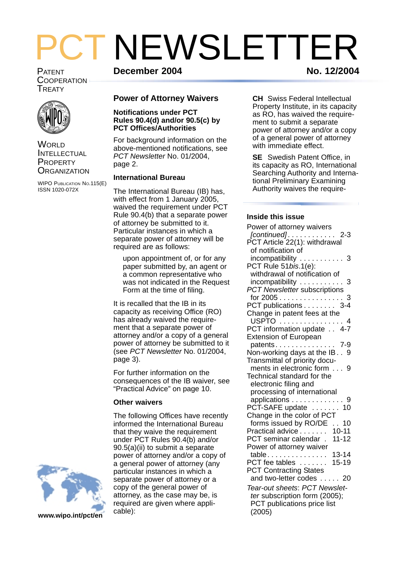# $\mathbf{F}$ PATENT **No. 12/2004 December 2004** NEWSLETTER

**COOPERATION** TREATY



**WORLD** INTELLECTUAL **PROPERTY ORGANIZATION** 

WIPO PUBLICATION NO.115(E) ISSN 1020-072X

## **Power of Attorney Waivers**

#### **Notifications under PCT Rules 90.4(d) and/or 90.5(c) by PCT Offices/Authorities**

For background information on the above-mentioned notifications, see *PCT Newsletter* No. 01/2004, page 2.

#### **International Bureau**

The International Bureau (IB) has, with effect from 1 January 2005, waived the requirement under PCT Rule 90.4(b) that a separate power of attorney be submitted to it. Particular instances in which a separate power of attorney will be required are as follows:

upon appointment of, or for any paper submitted by, an agent or a common representative who was not indicated in the Request Form at the time of filing.

It is recalled that the IB in its capacity as receiving Office (RO) has already waived the requirement that a separate power of attorney and/or a copy of a general power of attorney be submitted to it (see *PCT Newsletter* No. 01/2004, page 3).

For further information on the consequences of the IB waiver, see "Practical Advice" on page 10.

## **Other waivers**

The following Offices have recently informed the International Bureau that they waive the requirement under PCT Rules 90.4(b) and/or 90.5(a)(ii) to submit a separate power of attorney and/or a copy of a general power of attorney (any particular instances in which a separate power of attorney or a copy of the general power of attorney, as the case may be, is required are given where applicable):

**CH** Swiss Federal Intellectual Property Institute, in its capacity as RO, has waived the requirement to submit a separate power of attorney and/or a copy of a general power of attorney with immediate effect.

**SE** Swedish Patent Office, in its capacity as RO, International Searching Authority and International Preliminary Examining Authority waives the require-

## **Inside this issue**

| Power of attorney waivers                       |
|-------------------------------------------------|
| $2 - 3$                                         |
| [continued]. 2<br>PCT Article 22(1): withdrawal |
| of notification of                              |
| incompatibility<br>- 3                          |
| PCT Rule 51 bis.1(e):                           |
| withdrawal of notification of                   |
| incompatibility<br>3                            |
| <b>PCT Newsletter subscriptions</b>             |
| for $2005$                                      |
| PCT publications<br>$3 - 4$                     |
| Change in patent fees at the                    |
| USPTO<br>4                                      |
| PCT information update<br>$4 - 7$               |
| <b>Extension of European</b>                    |
| $7-9$<br>patents<br>$\cdots$                    |
| Non-working days at the IB. . 9                 |
| Transmittal of priority docu-                   |
| ments in electronic form<br>9                   |
| Technical standard for the                      |
| electronic filing and                           |
| processing of international                     |
| applications 9                                  |
| PCT-SAFE update<br>. . 10                       |
| Change in the color of PCT                      |
| forms issued by RO/DE<br>. 10<br>L.             |
| Practical advice<br>$10 - 11$                   |
| $11 - 12$<br>PCT seminar calendar.              |
| Power of attorney waiver                        |
| $13 - 14$<br>table                              |
| PCT fee tables<br>$15 - 19$                     |
| <b>PCT Contracting States</b>                   |
| and two-letter codes 20                         |
| Tear-out sheets: PCT Newslet-                   |
| ter subscription form (2005);                   |
| PCT publications price list                     |
| (2005)                                          |

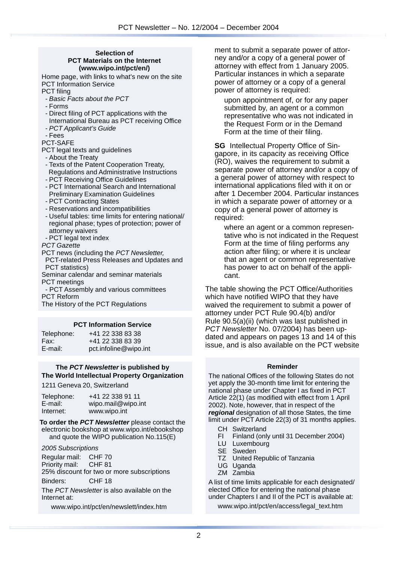#### **Selection of PCT Materials on the Internet (www.wipo.int/pct/en/)**

Home page, with links to what's new on the site PCT Information Service

- PCT filing
- *Basic Facts about the PCT*
- Forms
- Direct filing of PCT applications with the
- International Bureau as PCT receiving Office - *PCT Applicant's Guide*
- Fees

PCT-SAFE

- PCT legal texts and guidelines
- About the Treaty
- Texts of the Patent Cooperation Treaty, Regulations and Administrative Instructions
- PCT Receiving Office Guidelines
- PCT International Search and International Preliminary Examination Guidelines
- PCT Contracting States
- Reservations and incompatibilities
- Useful tables: time limits for entering national/ regional phase; types of protection; power of attorney waivers
- PCT legal text index

#### *PCT Gazette*

- PCT news (including the *PCT Newsletter,* PCT-related Press Releases and Updates and PCT statistics)
- Seminar calendar and seminar materials PCT meetings
- PCT Assembly and various committees PCT Reform
- The History of the PCT Regulations

#### **PCT Information Service**

| Telephone: | +41 22 338 83 38      |
|------------|-----------------------|
| Fax:       | +41 22 338 83 39      |
| E-mail:    | pct.infoline@wipo.int |

#### **The** *PCT Newsletter* **is published by The World Intellectual Property Organization**

1211 Geneva 20, Switzerland

| Telephone: | +41 22 338 91 11   |
|------------|--------------------|
| E-mail:    | wipo.mail@wipo.int |
| Internet:  | www.wipo.int       |

**To order the** *PCT Newsletter* please contact the electronic bookshop at www.wipo.int/ebookshop and quote the WIPO publication No.115(E)

#### *2005 Subscriptions*

Regular mail: CHF 70 Priority mail: CHF 81 25% discount for two or more subscriptions

Binders: CHF 18

The *PCT Newsletter* is also available on the Internet at:

www.wipo.int/pct/en/newslett/index.htm

ment to submit a separate power of attorney and/or a copy of a general power of attorney with effect from 1 January 2005. Particular instances in which a separate power of attorney or a copy of a general power of attorney is required:

upon appointment of, or for any paper submitted by, an agent or a common representative who was not indicated in the Request Form or in the Demand Form at the time of their filing.

**SG** Intellectual Property Office of Singapore, in its capacity as receiving Office (RO), waives the requirement to submit a separate power of attorney and/or a copy of a general power of attorney with respect to international applications filed with it on or after 1 December 2004. Particular instances in which a separate power of attorney or a copy of a general power of attorney is required:

where an agent or a common representative who is not indicated in the Request Form at the time of filing performs any action after filing; or where it is unclear that an agent or common representative has power to act on behalf of the applicant.

The table showing the PCT Office/Authorities which have notified WIPO that they have waived the requirement to submit a power of attorney under PCT Rule 90.4(b) and/or Rule 90.5(a)(ii) (which was last published in *PCT Newsletter* No. 07/2004) has been updated and appears on pages 13 and 14 of this issue, and is also available on the PCT website

#### **Reminder**

The national Offices of the following States do not yet apply the 30-month time limit for entering the national phase under Chapter I as fixed in PCT Article 22(1) (as modified with effect from 1 April 2002). Note, however, that in respect of the *regional* designation of all those States, the time limit under PCT Article 22(3) of 31 months applies.

- CH Switzerland
- FI Finland (only until 31 December 2004)
- LU Luxembourg
- SE Sweden
- TZ United Republic of Tanzania
- UG Uganda
- ZM Zambia

A list of time limits applicable for each designated/ elected Office for entering the national phase under Chapters I and II of the PCT is available at:

www.wipo.int/pct/en/access/legal\_text.htm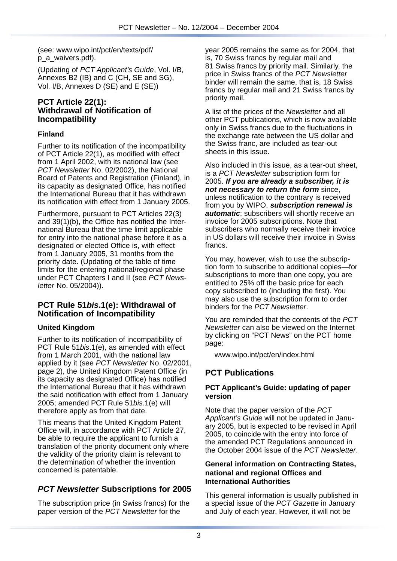(see: www.wipo.int/pct/en/texts/pdf/ p\_a\_waivers.pdf).

(Updating of *PCT Applicant's Guide*, Vol. I/B, Annexes B2 (IB) and C (CH, SE and SG), Vol. I/B, Annexes D (SE) and E (SE))

## **PCT Article 22(1): Withdrawal of Notification of Incompatibility**

## **Finland**

Further to its notification of the incompatibility of PCT Article 22(1), as modified with effect from 1 April 2002, with its national law (see *PCT Newsletter* No. 02/2002), the National Board of Patents and Registration (Finland), in its capacity as designated Office, has notified the International Bureau that it has withdrawn its notification with effect from 1 January 2005.

Furthermore, pursuant to PCT Articles 22(3) and 39(1)(b), the Office has notified the International Bureau that the time limit applicable for entry into the national phase before it as a designated or elected Office is, with effect from 1 January 2005, 31 months from the priority date. (Updating of the table of time limits for the entering national/regional phase under PCT Chapters I and II (see *PCT Newsletter* No. 05/2004)).

## **PCT Rule 51***bis***.1(e): Withdrawal of Notification of Incompatibility**

## **United Kingdom**

Further to its notification of incompatibility of PCT Rule 51*bis*.1(e), as amended with effect from 1 March 2001, with the national law applied by it (see *PCT Newsletter* No. 02/2001, page 2), the United Kingdom Patent Office (in its capacity as designated Office) has notified the International Bureau that it has withdrawn the said notification with effect from 1 January 2005; amended PCT Rule 51*bis*.1(e) will therefore apply as from that date.

This means that the United Kingdom Patent Office will, in accordance with PCT Article 27, be able to require the applicant to furnish a translation of the priority document only where the validity of the priority claim is relevant to the determination of whether the invention concerned is patentable.

## *PCT Newsletter* **Subscriptions for 2005**

The subscription price (in Swiss francs) for the paper version of the *PCT Newsletter* for the

year 2005 remains the same as for 2004, that is, 70 Swiss francs by regular mail and 81 Swiss francs by priority mail. Similarly, the price in Swiss francs of the *PCT Newsletter* binder will remain the same, that is, 18 Swiss francs by regular mail and 21 Swiss francs by priority mail.

A list of the prices of the *Newsletter* and all other PCT publications, which is now available only in Swiss francs due to the fluctuations in the exchange rate between the US dollar and the Swiss franc, are included as tear-out sheets in this issue.

Also included in this issue, as a tear-out sheet, is a *PCT Newsletter* subscription form for 2005. *If you are already a subscriber, it is not necessary to return the form* since, unless notification to the contrary is received from you by WIPO, *subscription renewal is automatic*; subscribers will shortly receive an invoice for 2005 subscriptions. Note that subscribers who normally receive their invoice in US dollars will receive their invoice in Swiss francs.

You may, however, wish to use the subscription form to subscribe to additional copies—for subscriptions to more than one copy, you are entitled to 25% off the basic price for each copy subscribed to (including the first). You may also use the subscription form to order binders for the *PCT Newsletter*.

You are reminded that the contents of the *PCT Newsletter* can also be viewed on the Internet by clicking on "PCT News" on the PCT home page:

www.wipo.int/pct/en/index.html

## **PCT Publications**

## **PCT Applicant's Guide: updating of paper version**

Note that the paper version of the *PCT Applicant's Guide* will not be updated in January 2005, but is expected to be revised in April 2005, to coincide with the entry into force of the amended PCT Regulations announced in the October 2004 issue of the *PCT Newsletter*.

### **General information on Contracting States, national and regional Offices and International Authorities**

This general information is usually published in a special issue of the *PCT Gazette* in January and July of each year. However, it will not be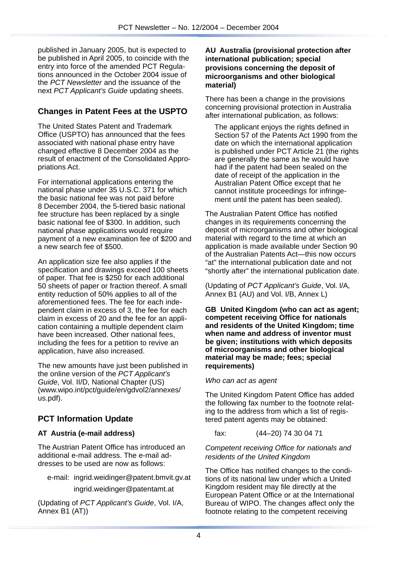published in January 2005, but is expected to be published in April 2005, to coincide with the entry into force of the amended PCT Regulations announced in the October 2004 issue of the *PCT Newsletter* and the issuance of the next *PCT Applicant's Guide* updating sheets.

## **Changes in Patent Fees at the USPTO**

The United States Patent and Trademark Office (USPTO) has announced that the fees associated with national phase entry have changed effective 8 December 2004 as the result of enactment of the Consolidated Appropriations Act.

For international applications entering the national phase under 35 U.S.C. 371 for which the basic national fee was not paid before 8 December 2004, the 5-tiered basic national fee structure has been replaced by a single basic national fee of \$300. In addition, such national phase applications would require payment of a new examination fee of \$200 and a new search fee of \$500.

An application size fee also applies if the specification and drawings exceed 100 sheets of paper. That fee is \$250 for each additional 50 sheets of paper or fraction thereof. A small entity reduction of 50% applies to all of the aforementioned fees. The fee for each independent claim in excess of 3, the fee for each claim in excess of 20 and the fee for an application containing a multiple dependent claim have been increased. Other national fees, including the fees for a petition to revive an application, have also increased.

The new amounts have just been published in the online version of the *PCT Applicant's Guide*, Vol. II/D, National Chapter (US) (www.wipo.int/pct/guide/en/gdvol2/annexes/ us.pdf).

## **PCT Information Update**

## **AT Austria (e-mail address)**

The Austrian Patent Office has introduced an additional e-mail address. The e-mail addresses to be used are now as follows:

e-mail: ingrid.weidinger@patent.bmvit.gv.at ingrid.weidinger@patentamt.at

(Updating of *PCT Applicant's Guide*, Vol. I/A, Annex B1 (AT))

#### **AU Australia (provisional protection after international publication; special provisions concerning the deposit of microorganisms and other biological material)**

There has been a change in the provisions concerning provisional protection in Australia after international publication, as follows:

The applicant enjoys the rights defined in Section 57 of the Patents Act 1990 from the date on which the international application is published under PCT Article 21 (the rights are generally the same as he would have had if the patent had been sealed on the date of receipt of the application in the Australian Patent Office except that he cannot institute proceedings for infringement until the patent has been sealed).

The Australian Patent Office has notified changes in its requirements concerning the deposit of microorganisms and other biological material with regard to the time at which an application is made available under Section 90 of the Australian Patents Act—this now occurs "at" the international publication date and not "shortly after" the international publication date.

(Updating of *PCT Applicant's Guide*, Vol. I/A, Annex B1 (AU) and Vol. I/B, Annex L)

**GB United Kingdom (who can act as agent; competent receiving Office for nationals and residents of the United Kingdom; time when name and address of inventor must be given; institutions with which deposits of microorganisms and other biological material may be made; fees; special requirements)**

## *Who can act as agent*

The United Kingdom Patent Office has added the following fax number to the footnote relating to the address from which a list of registered patent agents may be obtained:

fax: (44–20) 74 30 04 71

#### *Competent receiving Office for nationals and residents of the United Kingdom*

The Office has notified changes to the conditions of its national law under which a United Kingdom resident may file directly at the European Patent Office or at the International Bureau of WIPO. The changes affect only the footnote relating to the competent receiving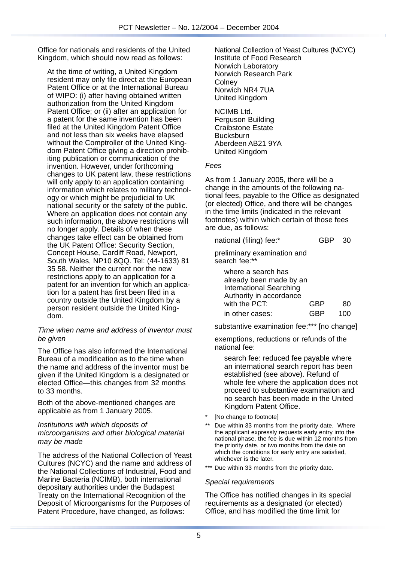Office for nationals and residents of the United Kingdom, which should now read as follows:

At the time of writing, a United Kingdom resident may only file direct at the European Patent Office or at the International Bureau of WIPO: (i) after having obtained written authorization from the United Kingdom Patent Office; or (ii) after an application for a patent for the same invention has been filed at the United Kingdom Patent Office and not less than six weeks have elapsed without the Comptroller of the United Kingdom Patent Office giving a direction prohibiting publication or communication of the invention. However, under forthcoming changes to UK patent law, these restrictions will only apply to an application containing information which relates to military technology or which might be prejudicial to UK national security or the safety of the public. Where an application does not contain any such information, the above restrictions will no longer apply. Details of when these changes take effect can be obtained from the UK Patent Office: Security Section, Concept House, Cardiff Road, Newport, South Wales, NP10 8QQ. Tel: (44-1633) 81 35 58. Neither the current nor the new restrictions apply to an application for a patent for an invention for which an application for a patent has first been filed in a country outside the United Kingdom by a person resident outside the United Kingdom.

#### *Time when name and address of inventor must be given*

The Office has also informed the International Bureau of a modification as to the time when the name and address of the inventor must be given if the United Kingdom is a designated or elected Office—this changes from 32 months to 33 months.

Both of the above-mentioned changes are applicable as from 1 January 2005.

#### *Institutions with which deposits of microorganisms and other biological material may be made*

The address of the National Collection of Yeast Cultures (NCYC) and the name and address of the National Collections of Industrial, Food and Marine Bacteria (NCIMB), both international depositary authorities under the Budapest Treaty on the International Recognition of the Deposit of Microorganisms for the Purposes of Patent Procedure, have changed, as follows:

National Collection of Yeast Cultures (NCYC) Institute of Food Research Norwich Laboratory Norwich Research Park **Colney** Norwich NR4 7UA United Kingdom

NCIMB Ltd. Ferguson Building Craibstone Estate Bucksburn Aberdeen AB21 9YA United Kingdom

#### *Fees*

As from 1 January 2005, there will be a change in the amounts of the following national fees, payable to the Office as designated (or elected) Office, and there will be changes in the time limits (indicated in the relevant footnotes) within which certain of those fees are due, as follows:

national (filing) fee:\* GBP 30

preliminary examination and search fee:\*\*

| where a search has             |     |     |
|--------------------------------|-----|-----|
| already been made by an        |     |     |
| <b>International Searching</b> |     |     |
| Authority in accordance        |     |     |
| with the PCT:                  | GBP | 80  |
| in other cases:                | GRP | 100 |

substantive examination fee:\*\*\* [no change]

exemptions, reductions or refunds of the national fee:

search fee: reduced fee payable where an international search report has been established (see above). Refund of whole fee where the application does not proceed to substantive examination and no search has been made in the United Kingdom Patent Office.

- [No change to footnote]
- Due within 33 months from the priority date. Where the applicant expressly requests early entry into the national phase, the fee is due within 12 months from the priority date, or two months from the date on which the conditions for early entry are satisfied, whichever is the later.
- \*\*\* Due within 33 months from the priority date.

#### *Special requirements*

The Office has notified changes in its special requirements as a designated (or elected) Office, and has modified the time limit for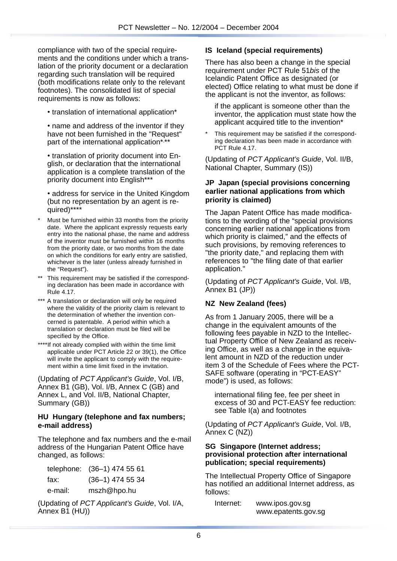compliance with two of the special requirements and the conditions under which a translation of the priority document or a declaration regarding such translation will be required (both modifications relate only to the relevant footnotes). The consolidated list of special requirements is now as follows:

• translation of international application\*

• name and address of the inventor if they have not been furnished in the "Request" part of the international application\*, \*\*

• translation of priority document into English, or declaration that the international application is a complete translation of the priority document into English\*\*\*

• address for service in the United Kingdom (but no representation by an agent is required)\*\*\*\*

- Must be furnished within 33 months from the priority date. Where the applicant expressly requests early entry into the national phase, the name and address of the inventor must be furnished within 16 months from the priority date, or two months from the date on which the conditions for early entry are satisfied, whichever is the later (unless already furnished in the "Request").
- \*\* This requirement may be satisfied if the corresponding declaration has been made in accordance with Rule 4.17.
- \*\*\* A translation or declaration will only be required where the validity of the priority claim is relevant to the determination of whether the invention concerned is patentable. A period within which a translation or declaration must be filed will be specified by the Office.
- \*\*\*\*If not already complied with within the time limit applicable under PCT Article 22 or 39(1), the Office will invite the applicant to comply with the requirement within a time limit fixed in the invitation.

(Updating of *PCT Applicant's Guide*, Vol. I/B, Annex B1 (GB), Vol. I/B, Annex C (GB) and Annex L, and Vol. II/B, National Chapter, Summary (GB))

## **HU Hungary (telephone and fax numbers; e-mail address)**

The telephone and fax numbers and the e-mail address of the Hungarian Patent Office have changed, as follows:

|         | telephone: (36-1) 474 55 61 |
|---------|-----------------------------|
| fax:    | $(36-1)$ 474 55 34          |
| e-mail: | mszh@hpo.hu                 |

(Updating of *PCT Applicant's Guide*, Vol. I/A, Annex B1 (HU))

## **IS Iceland (special requirements)**

There has also been a change in the special requirement under PCT Rule 51*bis* of the Icelandic Patent Office as designated (or elected) Office relating to what must be done if the applicant is not the inventor, as follows:

if the applicant is someone other than the inventor, the application must state how the applicant acquired title to the invention\*

This requirement may be satisfied if the corresponding declaration has been made in accordance with PCT Rule 4.17.

(Updating of *PCT Applicant's Guide*, Vol. II/B, National Chapter, Summary (IS))

#### **JP Japan (special provisions concerning earlier national applications from which priority is claimed)**

The Japan Patent Office has made modifications to the wording of the "special provisions concerning earlier national applications from which priority is claimed," and the effects of such provisions, by removing references to "the priority date," and replacing them with references to "the filing date of that earlier application."

(Updating of *PCT Applicant's Guide*, Vol. I/B, Annex B1 (JP))

## **NZ New Zealand (fees)**

As from 1 January 2005, there will be a change in the equivalent amounts of the following fees payable in NZD to the Intellectual Property Office of New Zealand as receiving Office, as well as a change in the equivalent amount in NZD of the reduction under item 3 of the Schedule of Fees where the PCT-SAFE software (operating in "PCT-EASY" mode") is used, as follows:

international filing fee, fee per sheet in excess of 30 and PCT-EASY fee reduction: see Table I(a) and footnotes

(Updating of *PCT Applicant's Guide*, Vol. I/B, Annex C (NZ))

#### **SG Singapore (Internet address; provisional protection after international publication; special requirements)**

The Intellectual Property Office of Singapore has notified an additional Internet address, as follows:

Internet: www.ipos.gov.sg www.epatents.gov.sg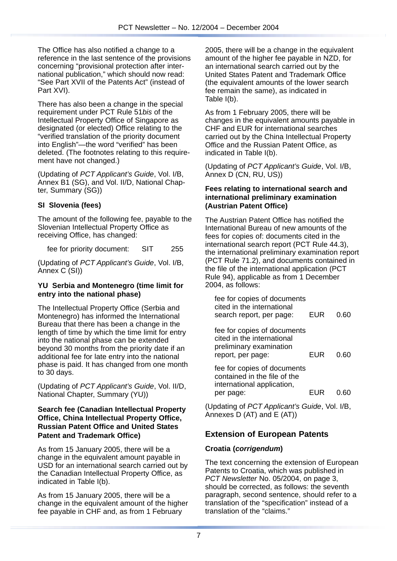The Office has also notified a change to a reference in the last sentence of the provisions concerning "provisional protection after international publication," which should now read: "See Part XVII of the Patents Act" (instead of Part XVI).

There has also been a change in the special requirement under PCT Rule 51*bis* of the Intellectual Property Office of Singapore as designated (or elected) Office relating to the "verified translation of the priority document into English"—the word "verified" has been deleted. (The footnotes relating to this requirement have not changed.)

(Updating of *PCT Applicant's Guide*, Vol. I/B, Annex B1 (SG), and Vol. II/D, National Chapter, Summary (SG))

## **SI Slovenia (fees)**

The amount of the following fee, payable to the Slovenian Intellectual Property Office as receiving Office, has changed:

fee for priority document: SIT 255

(Updating of *PCT Applicant's Guide*, Vol. I/B, Annex C (SI))

#### **YU Serbia and Montenegro (time limit for entry into the national phase)**

The Intellectual Property Office (Serbia and Montenegro) has informed the International Bureau that there has been a change in the length of time by which the time limit for entry into the national phase can be extended beyond 30 months from the priority date if an additional fee for late entry into the national phase is paid. It has changed from one month to 30 days.

(Updating of *PCT Applicant's Guide*, Vol. II/D, National Chapter, Summary (YU))

#### **Search fee (Canadian Intellectual Property Office, China Intellectual Property Office, Russian Patent Office and United States Patent and Trademark Office)**

As from 15 January 2005, there will be a change in the equivalent amount payable in USD for an international search carried out by the Canadian Intellectual Property Office, as indicated in Table I(b).

As from 15 January 2005, there will be a change in the equivalent amount of the higher fee payable in CHF and, as from 1 February

2005, there will be a change in the equivalent amount of the higher fee payable in NZD, for an international search carried out by the United States Patent and Trademark Office (the equivalent amounts of the lower search fee remain the same), as indicated in Table I(b).

As from 1 February 2005, there will be changes in the equivalent amounts payable in CHF and EUR for international searches carried out by the China Intellectual Property Office and the Russian Patent Office, as indicated in Table I(b).

(Updating of *PCT Applicant's Guide*, Vol. I/B, Annex D (CN, RU, US))

#### **Fees relating to international search and international preliminary examination (Austrian Patent Office)**

The Austrian Patent Office has notified the International Bureau of new amounts of the fees for copies of: documents cited in the international search report (PCT Rule 44.3), the international preliminary examination report (PCT Rule 71.2), and documents contained in the file of the international application (PCT Rule 94), applicable as from 1 December 2004, as follows:

| fee for copies of documents<br>cited in the international<br>search report, per page:                     | EUR        | 0.60 |
|-----------------------------------------------------------------------------------------------------------|------------|------|
| fee for copies of documents<br>cited in the international<br>preliminary examination<br>report, per page: | <b>FUR</b> | 0.60 |
| fee for copies of documents<br>contained in the file of the<br>international application,<br>per page:    |            |      |

(Updating of *PCT Applicant's Guide*, Vol. I/B, Annexes D (AT) and E (AT))

## **Extension of European Patents**

## **Croatia (***corrigendum***)**

The text concerning the extension of European Patents to Croatia, which was published in *PCT Newsletter* No. 05/2004, on page 3, should be corrected, as follows: the seventh paragraph, second sentence, should refer to a translation of the "specification" instead of a translation of the "claims."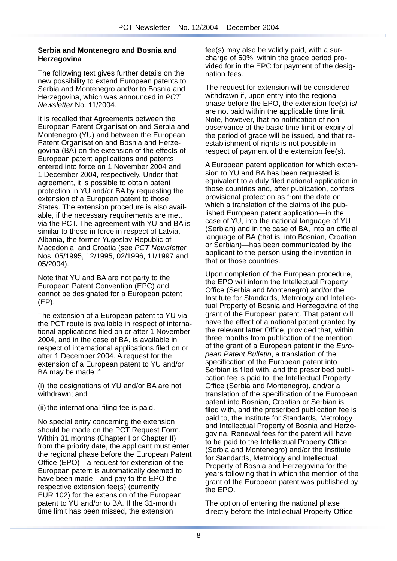#### **Serbia and Montenegro and Bosnia and Herzegovina**

The following text gives further details on the new possibility to extend European patents to Serbia and Montenegro and/or to Bosnia and Herzegovina, which was announced in *PCT Newsletter* No. 11/2004.

It is recalled that Agreements between the European Patent Organisation and Serbia and Montenegro (YU) and between the European Patent Organisation and Bosnia and Herzegovina (BA) on the extension of the effects of European patent applications and patents entered into force on 1 November 2004 and 1 December 2004, respectively. Under that agreement, it is possible to obtain patent protection in YU and/or BA by requesting the extension of a European patent to those States. The extension procedure is also available, if the necessary requirements are met, via the PCT. The agreement with YU and BA is similar to those in force in respect of Latvia, Albania, the former Yugoslav Republic of Macedonia, and Croatia (see *PCT Newsletter* Nos. 05/1995, 12/1995, 02/1996, 11/1997 and 05/2004).

Note that YU and BA are not party to the European Patent Convention (EPC) and cannot be designated for a European patent (EP).

The extension of a European patent to YU via the PCT route is available in respect of international applications filed on or after 1 November 2004, and in the case of BA, is available in respect of international applications filed on or after 1 December 2004. A request for the extension of a European patent to YU and/or BA may be made if:

(i) the designations of YU and/or BA are not withdrawn; and

(ii) the international filing fee is paid.

No special entry concerning the extension should be made on the PCT Request Form. Within 31 months (Chapter I or Chapter II) from the priority date, the applicant must enter the regional phase before the European Patent Office (EPO)—a request for extension of the European patent is automatically deemed to have been made—and pay to the EPO the respective extension fee(s) (currently EUR 102) for the extension of the European patent to YU and/or to BA. If the 31-month time limit has been missed, the extension

fee(s) may also be validly paid, with a surcharge of 50%, within the grace period provided for in the EPC for payment of the designation fees.

The request for extension will be considered withdrawn if, upon entry into the regional phase before the EPO, the extension fee(s) is/ are not paid within the applicable time limit. Note, however, that no notification of nonobservance of the basic time limit or expiry of the period of grace will be issued, and that reestablishment of rights is not possible in respect of payment of the extension fee(s).

A European patent application for which extension to YU and BA has been requested is equivalent to a duly filed national application in those countries and, after publication, confers provisional protection as from the date on which a translation of the claims of the published European patent application—in the case of YU, into the national language of YU (Serbian) and in the case of BA, into an official language of BA (that is, into Bosnian, Croatian or Serbian)—has been communicated by the applicant to the person using the invention in that or those countries.

Upon completion of the European procedure, the EPO will inform the Intellectual Property Office (Serbia and Montenegro) and/or the Institute for Standards, Metrology and Intellectual Property of Bosnia and Herzegovina of the grant of the European patent. That patent will have the effect of a national patent granted by the relevant latter Office, provided that, within three months from publication of the mention of the grant of a European patent in the *European Patent Bulletin*, a translation of the specification of the European patent into Serbian is filed with, and the prescribed publication fee is paid to, the Intellectual Property Office (Serbia and Montenegro), and/or a translation of the specification of the European patent into Bosnian, Croatian or Serbian is filed with, and the prescribed publication fee is paid to, the Institute for Standards, Metrology and Intellectual Property of Bosnia and Herzegovina. Renewal fees for the patent will have to be paid to the Intellectual Property Office (Serbia and Montenegro) and/or the Institute for Standards, Metrology and Intellectual Property of Bosnia and Herzegovina for the years following that in which the mention of the grant of the European patent was published by the EPO.

The option of entering the national phase directly before the Intellectual Property Office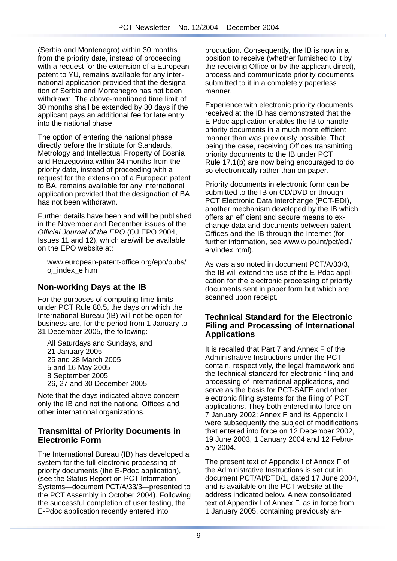(Serbia and Montenegro) within 30 months from the priority date, instead of proceeding with a request for the extension of a European patent to YU, remains available for any international application provided that the designation of Serbia and Montenegro has not been withdrawn. The above-mentioned time limit of 30 months shall be extended by 30 days if the applicant pays an additional fee for late entry into the national phase.

The option of entering the national phase directly before the Institute for Standards, Metrology and Intellectual Property of Bosnia and Herzegovina within 34 months from the priority date, instead of proceeding with a request for the extension of a European patent to BA, remains available for any international application provided that the designation of BA has not been withdrawn.

Further details have been and will be published in the November and December issues of the *Official Journal of the EPO* (OJ EPO 2004, Issues 11 and 12), which are/will be available on the EPO website at:

www.european-patent-office.org/epo/pubs/ oj\_index\_e.htm

## **Non-working Days at the IB**

For the purposes of computing time limits under PCT Rule 80.5, the days on which the International Bureau (IB) will not be open for business are, for the period from 1 January to 31 December 2005, the following:

All Saturdays and Sundays, and 21 January 2005 25 and 28 March 2005 5 and 16 May 2005 8 September 2005 26, 27 and 30 December 2005

Note that the days indicated above concern only the IB and not the national Offices and other international organizations.

## **Transmittal of Priority Documents in Electronic Form**

The International Bureau (IB) has developed a system for the full electronic processing of priority documents (the E-Pdoc application), (see the Status Report on PCT Information Systems—document PCT/A/33/3—presented to the PCT Assembly in October 2004). Following the successful completion of user testing, the E-Pdoc application recently entered into

production. Consequently, the IB is now in a position to receive (whether furnished to it by the receiving Office or by the applicant direct), process and communicate priority documents submitted to it in a completely paperless manner.

Experience with electronic priority documents received at the IB has demonstrated that the E-Pdoc application enables the IB to handle priority documents in a much more efficient manner than was previously possible. That being the case, receiving Offices transmitting priority documents to the IB under PCT Rule 17.1(b) are now being encouraged to do so electronically rather than on paper.

Priority documents in electronic form can be submitted to the IB on CD/DVD or through PCT Electronic Data Interchange (PCT-EDI), another mechanism developed by the IB which offers an efficient and secure means to exchange data and documents between patent Offices and the IB through the Internet (for further information, see www.wipo.int/pct/edi/ en/index.html).

As was also noted in document PCT/A/33/3, the IB will extend the use of the E-Pdoc application for the electronic processing of priority documents sent in paper form but which are scanned upon receipt.

## **Technical Standard for the Electronic Filing and Processing of International Applications**

It is recalled that Part 7 and Annex F of the Administrative Instructions under the PCT contain, respectively, the legal framework and the technical standard for electronic filing and processing of international applications, and serve as the basis for PCT-SAFE and other electronic filing systems for the filing of PCT applications. They both entered into force on 7 January 2002; Annex F and its Appendix I were subsequently the subject of modifications that entered into force on 12 December 2002, 19 June 2003, 1 January 2004 and 12 February 2004.

The present text of Appendix I of Annex F of the Administrative Instructions is set out in document PCT/AI/DTD/1, dated 17 June 2004, and is available on the PCT website at the address indicated below. A new consolidated text of Appendix I of Annex F, as in force from 1 January 2005, containing previously an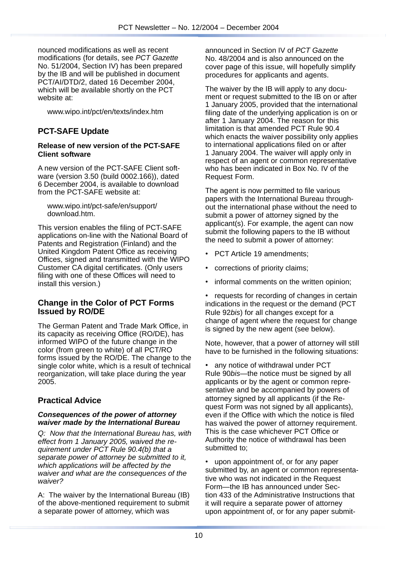nounced modifications as well as recent modifications (for details, see *PCT Gazette* No. 51/2004, Section IV) has been prepared by the IB and will be published in document PCT/AI/DTD/2, dated 16 December 2004, which will be available shortly on the PCT website at:

www.wipo.int/pct/en/texts/index.htm

## **PCT-SAFE Update**

#### **Release of new version of the PCT-SAFE Client software**

A new version of the PCT-SAFE Client software (version 3.50 (build 0002.166)), dated 6 December 2004, is available to download from the PCT-SAFE website at:

www.wipo.int/pct-safe/en/support/ download.htm.

This version enables the filing of PCT-SAFE applications on-line with the National Board of Patents and Registration (Finland) and the United Kingdom Patent Office as receiving Offices, signed and transmitted with the WIPO Customer CA digital certificates. (Only users filing with one of these Offices will need to install this version.)

## **Change in the Color of PCT Forms Issued by RO/DE**

The German Patent and Trade Mark Office, in its capacity as receiving Office (RO/DE), has informed WIPO of the future change in the color (from green to white) of all PCT/RO forms issued by the RO/DE. The change to the single color white, which is a result of technical reorganization, will take place during the year 2005.

## **Practical Advice**

#### *Consequences of the power of attorney waiver made by the International Bureau*

*Q: Now that the International Bureau has, with effect from 1 January 2005, waived the requirement under PCT Rule 90.4(b) that a separate power of attorney be submitted to it, which applications will be affected by the waiver and what are the consequences of the waiver?*

A: The waiver by the International Bureau (IB) of the above-mentioned requirement to submit a separate power of attorney, which was

announced in Section IV of *PCT Gazette* No. 48/2004 and is also announced on the cover page of this issue, will hopefully simplify procedures for applicants and agents.

The waiver by the IB will apply to any document or request submitted to the IB on or after 1 January 2005, provided that the international filing date of the underlying application is on or after 1 January 2004. The reason for this limitation is that amended PCT Rule 90.4 which enacts the waiver possibility only applies to international applications filed on or after 1 January 2004. The waiver will apply only in respect of an agent or common representative who has been indicated in Box No. IV of the Request Form.

The agent is now permitted to file various papers with the International Bureau throughout the international phase without the need to submit a power of attorney signed by the applicant(s). For example, the agent can now submit the following papers to the IB without the need to submit a power of attorney:

- PCT Article 19 amendments;
- corrections of priority claims;
- informal comments on the written opinion;

requests for recording of changes in certain indications in the request or the demand (PCT Rule 92*bis*) for all changes except for a change of agent where the request for change is signed by the new agent (see below).

Note, however, that a power of attorney will still have to be furnished in the following situations:

any notice of withdrawal under PCT Rule 90*bis—*the notice must be signed by all applicants or by the agent or common representative and be accompanied by powers of attorney signed by all applicants (if the Request Form was not signed by all applicants), even if the Office with which the notice is filed has waived the power of attorney requirement. This is the case whichever PCT Office or Authority the notice of withdrawal has been submitted to;

• upon appointment of, or for any paper submitted by, an agent or common representative who was not indicated in the Request Form—the IB has announced under Section 433 of the Administrative Instructions that it will require a separate power of attorney upon appointment of, or for any paper submit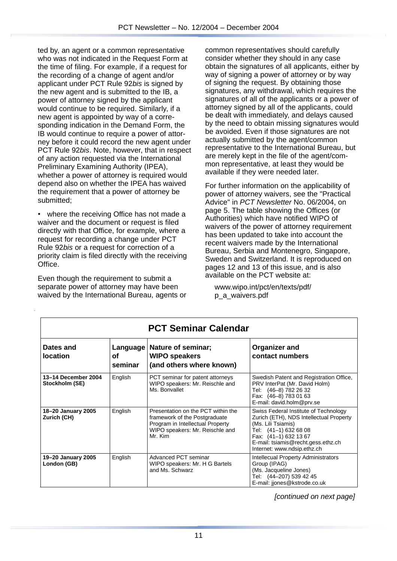ted by, an agent or a common representative who was not indicated in the Request Form at the time of filing. For example, if a request for the recording of a change of agent and/or applicant under PCT Rule 92*bis* is signed by the new agent and is submitted to the IB, a power of attorney signed by the applicant would continue to be required. Similarly, if a new agent is appointed by way of a corresponding indication in the Demand Form, the IB would continue to require a power of attorney before it could record the new agent under PCT Rule 92*bis*. Note, however, that in respect of any action requested via the International Preliminary Examining Authority (IPEA), whether a power of attorney is required would depend also on whether the IPEA has waived the requirement that a power of attorney be submitted;

• where the receiving Office has not made a waiver and the document or request is filed directly with that Office, for example, where a request for recording a change under PCT Rule 92*bis* or a request for correction of a priority claim is filed directly with the receiving Office.

Even though the requirement to submit a separate power of attorney may have been waived by the International Bureau, agents or common representatives should carefully consider whether they should in any case obtain the signatures of all applicants, either by way of signing a power of attorney or by way of signing the request. By obtaining those signatures, any withdrawal, which requires the signatures of all of the applicants or a power of attorney signed by all of the applicants, could be dealt with immediately, and delays caused by the need to obtain missing signatures would be avoided. Even if those signatures are not actually submitted by the agent/common representative to the International Bureau, but are merely kept in the file of the agent/common representative, at least they would be available if they were needed later.

For further information on the applicability of power of attorney waivers, see the "Practical Advice" in *PCT Newsletter* No. 06/2004, on page 5. The table showing the Offices (or Authorities) which have notified WIPO of waivers of the power of attorney requirement has been updated to take into account the recent waivers made by the International Bureau, Serbia and Montenegro, Singapore, Sweden and Switzerland. It is reproduced on pages 12 and 13 of this issue, and is also available on the PCT website at:

www.wipo.int/pct/en/texts/pdf/ p\_a\_waivers.pdf

| <b>PCT Seminar Calendar</b>           |                           |                                                                                                                                                       |                                                                                                                                                                                                                               |  |  |  |  |  |
|---------------------------------------|---------------------------|-------------------------------------------------------------------------------------------------------------------------------------------------------|-------------------------------------------------------------------------------------------------------------------------------------------------------------------------------------------------------------------------------|--|--|--|--|--|
| Dates and<br><b>location</b>          | Language<br>οf<br>seminar | Nature of seminar;<br><b>WIPO speakers</b><br>(and others where known)                                                                                | Organizer and<br>contact numbers                                                                                                                                                                                              |  |  |  |  |  |
| 13-14 December 2004<br>Stockholm (SE) | English                   | PCT seminar for patent attorneys<br>WIPO speakers: Mr. Reischle and<br>Ms. Bonvallet                                                                  | Swedish Patent and Registration Office,<br>PRV InterPat (Mr. David Holm)<br>Tel: (46-8) 782 26 32<br>Fax: (46-8) 783 01 63<br>E-mail: david.holm@prv.se                                                                       |  |  |  |  |  |
| 18-20 January 2005<br>Zurich (CH)     | English                   | Presentation on the PCT within the<br>framework of the Postgraduate<br>Program in Intellectual Property<br>WIPO speakers: Mr. Reischle and<br>Mr. Kim | Swiss Federal Institute of Technology<br>Zurich (ETH), NDS Intellectual Property<br>(Ms. Lili Tsiamis)<br>Tel: (41-1) 632 68 08<br>Fax: (41-1) 632 13 67<br>E-mail: tsiamis@recht.gess.ethz.ch<br>Internet: www.ndsip.ethz.ch |  |  |  |  |  |
| 19-20 January 2005<br>London (GB)     | English                   | Advanced PCT seminar<br>WIPO speakers: Mr. H G Bartels<br>and Ms. Schwarz                                                                             | <b>Intellecual Property Administrators</b><br>Group (IPAG)<br>(Ms. Jacqueline Jones)<br>Tel: (44-207) 539 42 45<br>E-mail: jjones@kstrode.co.uk                                                                               |  |  |  |  |  |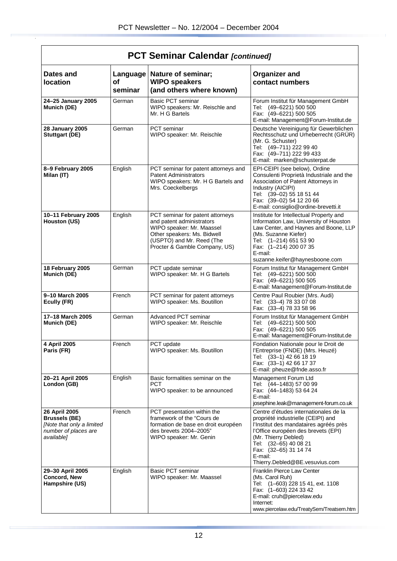| <b>PCT Seminar Calendar [continued]</b>                                                                  |                                                              |                                                                                                                                                                                         |                                                                                                                                                                                                                                                                                     |  |  |  |  |
|----------------------------------------------------------------------------------------------------------|--------------------------------------------------------------|-----------------------------------------------------------------------------------------------------------------------------------------------------------------------------------------|-------------------------------------------------------------------------------------------------------------------------------------------------------------------------------------------------------------------------------------------------------------------------------------|--|--|--|--|
| Dates and<br><b>location</b>                                                                             | <b>Language</b><br>οf<br>seminar                             | Nature of seminar;<br><b>WIPO speakers</b><br>(and others where known)                                                                                                                  | <b>Organizer and</b><br>contact numbers                                                                                                                                                                                                                                             |  |  |  |  |
| 24-25 January 2005<br>Munich (DE)                                                                        | German                                                       | <b>Basic PCT seminar</b><br>WIPO speakers: Mr. Reischle and<br>Mr. H G Bartels                                                                                                          | Forum Institut für Management GmbH<br>Tel: (49-6221) 500 500<br>Fax: (49-6221) 500 505<br>E-mail: Management@Forum-Institut.de                                                                                                                                                      |  |  |  |  |
| <b>28 January 2005</b><br><b>Stuttgart (DE)</b>                                                          | German                                                       | PCT seminar<br>WIPO speaker: Mr. Reischle                                                                                                                                               | Deutsche Vereinigung für Gewerblichen<br>Rechtsschutz und Urheberrecht (GRÜR)<br>(Mr. G. Schuster)<br>Tel: (49-711) 222 99 40<br>Fax: (49-711) 222 99 433<br>E-mail: marken@schusterpat.de                                                                                          |  |  |  |  |
| 8-9 February 2005<br>Milan (IT)                                                                          | English                                                      | PCT seminar for patent attorneys and<br><b>Patent Administrators</b><br>WIPO speakers: Mr. H G Bartels and<br>Mrs. Coeckelbergs                                                         | EPI-CEIPI (see below), Ordine<br>Consulenti Proprietà Industriale and the<br>Association of Patent Attorneys in<br>Industry (AICIPI)<br>Tel: (39-02) 55 18 51 44<br>Fax: (39-02) 54 12 20 66<br>E-mail: consiglio@ordine-brevetti.it                                                |  |  |  |  |
| 10-11 February 2005<br>Houston (US)                                                                      | English                                                      | PCT seminar for patent attorneys<br>and patent administrators<br>WIPO speaker: Mr. Maassel<br>Other speakers: Ms. Bidwell<br>(USPTO) and Mr. Reed (The<br>Procter & Gamble Company, US) | Institute for Intellectual Property and<br>Information Law, University of Houston<br>Law Center, and Haynes and Boone, LLP<br>(Ms. Suzanne Kiefer)<br>Tel: (1-214) 651 53 90<br>Fax: (1-214) 200 07 35<br>E-mail:<br>suzanne.keifer@haynesboone.com                                 |  |  |  |  |
| 18 February 2005<br>Munich (DE)                                                                          | German                                                       | PCT update seminar<br>WIPO speaker: Mr. H G Bartels                                                                                                                                     | Forum Institut für Management GmbH<br>Tel: (49-6221) 500 500<br>Fax: (49-6221) 500 505<br>E-mail: Management@Forum-Institut.de                                                                                                                                                      |  |  |  |  |
| 9-10 March 2005<br>Ecully (FR)                                                                           | French                                                       | PCT seminar for patent attorneys<br>WIPO speaker: Ms. Boutillon                                                                                                                         | Centre Paul Roubier (Mrs. Audi)<br>Tel: (33-4) 78 33 07 08<br>Fax: (33-4) 78 33 58 96                                                                                                                                                                                               |  |  |  |  |
| 17-18 March 2005<br>Munich (DE)                                                                          | Advanced PCT seminar<br>German<br>WIPO speaker: Mr. Reischle |                                                                                                                                                                                         | Forum Institut für Management GmbH<br>Tel: (49-6221) 500 500<br>Fax: (49-6221) 500 505<br>E-mail: Management@Forum-Institut.de                                                                                                                                                      |  |  |  |  |
| 4 April 2005<br>Paris (FR)                                                                               | French                                                       | PCT update<br>WIPO speaker: Ms. Boutillon                                                                                                                                               | Fondation Nationale pour le Droit de<br>l'Entreprise (FNDE) (Mrs. Heuzé)<br>Tel: (33-1) 42 66 18 19<br>Fax: (33-1) 42 66 17 37<br>E-mail: pheuze@fnde.asso.fr                                                                                                                       |  |  |  |  |
| 20-21 April 2005<br>London (GB)                                                                          | English                                                      | Basic formalities seminar on the<br>PCT<br>WIPO speaker: to be announced                                                                                                                | Management Forum Ltd<br>Tel: (44-1483) 57 00 99<br>Fax: (44-1483) 53 64 24<br>E-mail:<br>josephine.leak@management-forum.co.uk                                                                                                                                                      |  |  |  |  |
| 26 April 2005<br><b>Brussels (BE)</b><br>[Note that only a limited<br>number of places are<br>available] | French                                                       | PCT presentation within the<br>framework of the "Cours de<br>formation de base en droit européen<br>des brevets 2004-2005"<br>WIPO speaker: Mr. Genin                                   | Centre d'études internationales de la<br>propriété industrielle (CEIPI) and<br>l'Institut des mandataires agréés près<br>l'Office européen des brevets (EPI)<br>(Mr. Thierry Debled)<br>Tel: (32-65) 40 08 21<br>Fax: (32-65) 31 14 74<br>E-mail:<br>Thierry.Debled@BE.vesuvius.com |  |  |  |  |
| 29-30 April 2005<br><b>Concord, New</b><br>Hampshire (US)                                                | English                                                      | <b>Basic PCT seminar</b><br>WIPO speaker: Mr. Maassel                                                                                                                                   | Franklin Pierce Law Center<br>(Ms. Carol Ruh)<br>Tel: (1-603) 228 15 41, ext. 1108<br>Fax: (1-603) 224 33 42<br>E-mail: cruh@piercelaw.edu<br>Internet:<br>www.piercelaw.edu/TreatySem/Treatsem.htm                                                                                 |  |  |  |  |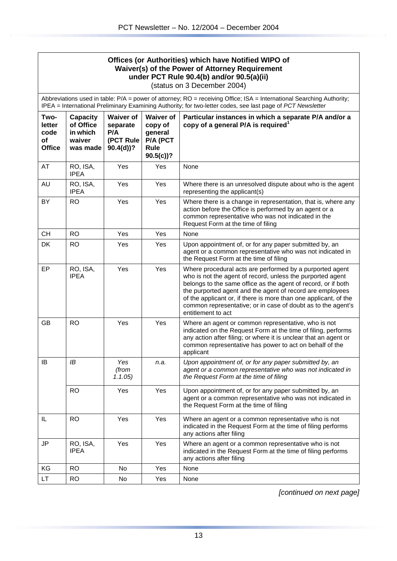|                                                                                                                                                                                                                                                       | Offices (or Authorities) which have Notified WIPO of<br>Waiver(s) of the Power of Attorney Requirement<br>under PCT Rule 90.4(b) and/or 90.5(a)(ii)<br>(status on 3 December 2004) |                                                                 |                                                                           |                                                                                                                                                                                                                                                                                                                                                                                                                |  |  |  |
|-------------------------------------------------------------------------------------------------------------------------------------------------------------------------------------------------------------------------------------------------------|------------------------------------------------------------------------------------------------------------------------------------------------------------------------------------|-----------------------------------------------------------------|---------------------------------------------------------------------------|----------------------------------------------------------------------------------------------------------------------------------------------------------------------------------------------------------------------------------------------------------------------------------------------------------------------------------------------------------------------------------------------------------------|--|--|--|
|                                                                                                                                                                                                                                                       |                                                                                                                                                                                    |                                                                 |                                                                           | Abbreviations used in table: P/A = power of attorney; RO = receiving Office; ISA = International Searching Authority;<br>IPEA = International Preliminary Examining Authority; for two-letter codes, see last page of PCT Newsletter                                                                                                                                                                           |  |  |  |
| Two-<br>letter<br>code<br>of<br><b>Office</b>                                                                                                                                                                                                         | <b>Capacity</b><br>of Office<br>in which<br>waiver<br>was made                                                                                                                     | <b>Waiver of</b><br>separate<br>P/A<br>(PCT Rule<br>$90.4(d)$ ? | <b>Waiver of</b><br>copy of<br>general<br>P/A (PCT<br>Rule<br>$90.5(c)$ ? | Particular instances in which a separate P/A and/or a<br>copy of a general P/A is required <sup>1</sup>                                                                                                                                                                                                                                                                                                        |  |  |  |
| AT                                                                                                                                                                                                                                                    | RO, ISA,<br><b>IPEA</b>                                                                                                                                                            | Yes                                                             | Yes                                                                       | None                                                                                                                                                                                                                                                                                                                                                                                                           |  |  |  |
| AU                                                                                                                                                                                                                                                    | RO, ISA,<br><b>IPEA</b>                                                                                                                                                            | Yes                                                             | Yes                                                                       | Where there is an unresolved dispute about who is the agent<br>representing the applicant(s)                                                                                                                                                                                                                                                                                                                   |  |  |  |
| <b>RO</b><br>Yes<br>Yes<br>BY.<br>Where there is a change in representation, that is, where any<br>action before the Office is performed by an agent or a<br>common representative who was not indicated in the<br>Request Form at the time of filing |                                                                                                                                                                                    |                                                                 |                                                                           |                                                                                                                                                                                                                                                                                                                                                                                                                |  |  |  |
| <b>CH</b>                                                                                                                                                                                                                                             | <b>RO</b>                                                                                                                                                                          | Yes                                                             | Yes                                                                       | None                                                                                                                                                                                                                                                                                                                                                                                                           |  |  |  |
| DK                                                                                                                                                                                                                                                    | <b>RO</b>                                                                                                                                                                          | Yes                                                             | Yes                                                                       | Upon appointment of, or for any paper submitted by, an<br>agent or a common representative who was not indicated in<br>the Request Form at the time of filing                                                                                                                                                                                                                                                  |  |  |  |
| EP                                                                                                                                                                                                                                                    | RO, ISA,<br><b>IPEA</b>                                                                                                                                                            | Yes                                                             | Yes                                                                       | Where procedural acts are performed by a purported agent<br>who is not the agent of record, unless the purported agent<br>belongs to the same office as the agent of record, or if both<br>the purported agent and the agent of record are employees<br>of the applicant or, if there is more than one applicant, of the<br>common representative; or in case of doubt as to the agent's<br>entitlement to act |  |  |  |
| GB                                                                                                                                                                                                                                                    | <b>RO</b>                                                                                                                                                                          | Yes                                                             | Yes                                                                       | Where an agent or common representative, who is not<br>indicated on the Request Form at the time of filing, performs<br>any action after filing; or where it is unclear that an agent or<br>common representative has power to act on behalf of the<br>applicant                                                                                                                                               |  |  |  |
| IB                                                                                                                                                                                                                                                    | IB                                                                                                                                                                                 | Yes<br>(from<br>1.1.05                                          | n.a.                                                                      | Upon appointment of, or for any paper submitted by, an<br>agent or a common representative who was not indicated in<br>the Request Form at the time of filing                                                                                                                                                                                                                                                  |  |  |  |
|                                                                                                                                                                                                                                                       | <b>RO</b>                                                                                                                                                                          | Yes                                                             | Yes                                                                       | Upon appointment of, or for any paper submitted by, an<br>agent or a common representative who was not indicated in<br>the Request Form at the time of filing                                                                                                                                                                                                                                                  |  |  |  |
| IL                                                                                                                                                                                                                                                    | <b>RO</b>                                                                                                                                                                          | Yes                                                             | Yes                                                                       | Where an agent or a common representative who is not<br>indicated in the Request Form at the time of filing performs<br>any actions after filing                                                                                                                                                                                                                                                               |  |  |  |
| JP                                                                                                                                                                                                                                                    | RO, ISA,<br><b>IPEA</b>                                                                                                                                                            | Yes                                                             | Yes                                                                       | Where an agent or a common representative who is not<br>indicated in the Request Form at the time of filing performs<br>any actions after filing                                                                                                                                                                                                                                                               |  |  |  |
| KG                                                                                                                                                                                                                                                    | <b>RO</b>                                                                                                                                                                          | <b>No</b>                                                       | Yes                                                                       | None                                                                                                                                                                                                                                                                                                                                                                                                           |  |  |  |
| <b>LT</b>                                                                                                                                                                                                                                             | <b>RO</b>                                                                                                                                                                          | No                                                              | Yes                                                                       | None                                                                                                                                                                                                                                                                                                                                                                                                           |  |  |  |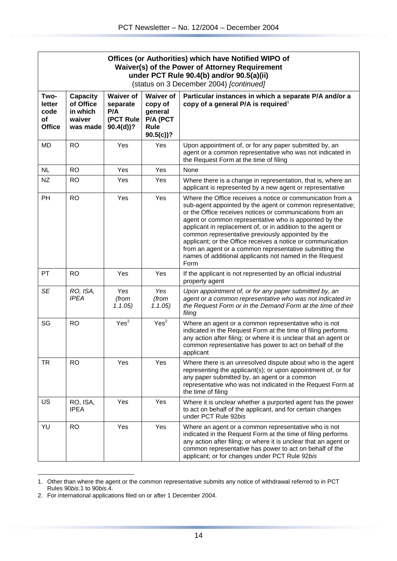|                                               | Offices (or Authorities) which have Notified WIPO of<br>Waiver(s) of the Power of Attorney Requirement<br>under PCT Rule 90.4(b) and/or 90.5(a)(ii)<br>(status on 3 December 2004) [continued] |                                                                 |                                                                           |                                                                                                                                                                                                                                                                                                                                                                                                                                                                                                                                                                 |  |  |  |  |
|-----------------------------------------------|------------------------------------------------------------------------------------------------------------------------------------------------------------------------------------------------|-----------------------------------------------------------------|---------------------------------------------------------------------------|-----------------------------------------------------------------------------------------------------------------------------------------------------------------------------------------------------------------------------------------------------------------------------------------------------------------------------------------------------------------------------------------------------------------------------------------------------------------------------------------------------------------------------------------------------------------|--|--|--|--|
| Two-<br>letter<br>code<br>of<br><b>Office</b> | Capacity<br>of Office<br>in which<br>waiver<br>was made                                                                                                                                        | <b>Waiver of</b><br>separate<br>P/A<br>(PCT Rule<br>$90.4(d)$ ? | <b>Waiver of</b><br>copy of<br>general<br>P/A (PCT<br>Rule<br>$90.5(c)$ ? | Particular instances in which a separate P/A and/or a<br>copy of a general P/A is required <sup>1</sup>                                                                                                                                                                                                                                                                                                                                                                                                                                                         |  |  |  |  |
| MD                                            | <b>RO</b>                                                                                                                                                                                      | Yes                                                             | Yes                                                                       | Upon appointment of, or for any paper submitted by, an<br>agent or a common representative who was not indicated in<br>the Request Form at the time of filing                                                                                                                                                                                                                                                                                                                                                                                                   |  |  |  |  |
| <b>NL</b>                                     | <b>RO</b>                                                                                                                                                                                      | Yes                                                             | Yes                                                                       | None                                                                                                                                                                                                                                                                                                                                                                                                                                                                                                                                                            |  |  |  |  |
| <b>NZ</b>                                     | RO                                                                                                                                                                                             | Yes                                                             | Yes                                                                       | Where there is a change in representation, that is, where an<br>applicant is represented by a new agent or representative                                                                                                                                                                                                                                                                                                                                                                                                                                       |  |  |  |  |
| PH                                            | <b>RO</b>                                                                                                                                                                                      | Yes                                                             | Yes                                                                       | Where the Office receives a notice or communication from a<br>sub-agent appointed by the agent or common representative;<br>or the Office receives notices or communications from an<br>agent or common representative who is appointed by the<br>applicant in replacement of, or in addition to the agent or<br>common representative previously appointed by the<br>applicant; or the Office receives a notice or communication<br>from an agent or a common representative submitting the<br>names of additional applicants not named in the Request<br>Form |  |  |  |  |
| <b>PT</b>                                     | <b>RO</b>                                                                                                                                                                                      | Yes                                                             | Yes                                                                       | If the applicant is not represented by an official industrial<br>property agent                                                                                                                                                                                                                                                                                                                                                                                                                                                                                 |  |  |  |  |
| <b>SE</b>                                     | RO, ISA,<br><b>IPEA</b>                                                                                                                                                                        | Yes<br>(from<br>1.1.05                                          | Yes<br>(from<br>1.1.05)                                                   | Upon appointment of, or for any paper submitted by, an<br>agent or a common representative who was not indicated in<br>the Request Form or in the Demand Form at the time of their<br>filing                                                                                                                                                                                                                                                                                                                                                                    |  |  |  |  |
| SG                                            | <b>RO</b>                                                                                                                                                                                      | Yes <sup>2</sup>                                                | Yes <sup>2</sup>                                                          | Where an agent or a common representative who is not<br>indicated in the Request Form at the time of filing performs<br>any action after filing; or where it is unclear that an agent or<br>common representative has power to act on behalf of the<br>applicant                                                                                                                                                                                                                                                                                                |  |  |  |  |
| TR                                            | <b>RO</b>                                                                                                                                                                                      | Yes                                                             | Yes                                                                       | Where there is an unresolved dispute about who is the agent<br>representing the applicant(s); or upon appointment of, or for<br>any paper submitted by, an agent or a common<br>representative who was not indicated in the Request Form at<br>the time of filing                                                                                                                                                                                                                                                                                               |  |  |  |  |
| <b>US</b>                                     | RO, ISA,<br><b>IPEA</b>                                                                                                                                                                        | Yes                                                             | Yes                                                                       | Where it is unclear whether a purported agent has the power<br>to act on behalf of the applicant, and for certain changes<br>under PCT Rule 92bis                                                                                                                                                                                                                                                                                                                                                                                                               |  |  |  |  |
| YU                                            | <b>RO</b>                                                                                                                                                                                      | Yes                                                             | Yes                                                                       | Where an agent or a common representative who is not<br>indicated in the Request Form at the time of filing performs<br>any action after filing; or where it is unclear that an agent or<br>common representative has power to act on behalf of the<br>applicant; or for changes under PCT Rule 92bis                                                                                                                                                                                                                                                           |  |  |  |  |

 $\overline{a}$ 1. Other than where the agent or the common representative submits any notice of withdrawal referred to in PCT Rules 90*bis*.1 to 90*bis*.4.

<sup>2.</sup> For international applications filed on or after 1 December 2004.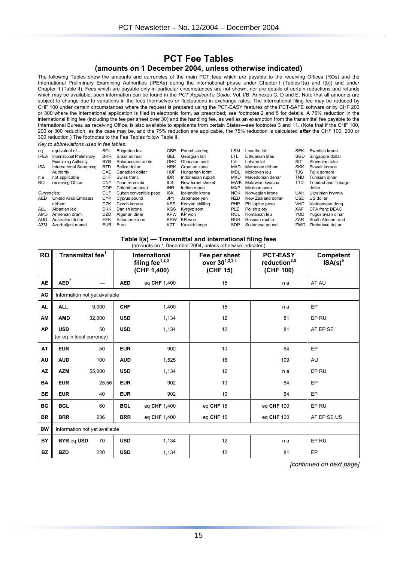## **PCT Fee Tables (amounts on 1 December 2004, unless otherwise indicated)**

The following Tables show the amounts and currencies of the main PCT fees which are payable to the receiving Offices (ROs) and the International Preliminary Examining Authorities (IPEAs) during the international phase under Chapter I (Tables I(a) and I(b)) and under Chapter II (Table II). Fees which are payable only in particular circumstances are not shown; nor are details of certain reductions and refunds which may be available; such information can be found in the *PCT Applicant's Guide,* Vol. I/B, Annexes C, D and E. Note that all amounts are subject to change due to variations in the fees themselves or fluctuations in exchange rates. The international filing fee may be reduced by CHF 100 under certain circumstances where the request is prepared using the PCT-EASY features of the PCT-SAFE software or by CHF 200 or 300 where the international application is filed in electronic form, as prescribed; see footnotes 2 and 5 for details. A 75% reduction in the international filing fee (including the fee per sheet over 30) and the handling fee, as well as an exemption from the transmittal fee payable to the International Bureau as receiving Office, is also available to applicants from certain States—see footnotes 3 and 11. (Note that if the CHF 100, 200 or 300 reduction, as the case may be, and the 75% reduction are applicable, the 75% reduction is calculated *after* the CHF 100, 200 or 300 reduction.) The footnotes to the Fee Tables follow Table II.

*Key to abbreviations used in fee tables:*

|             | $1.0$ , to abbiturations about 11.100 tables. |            |                        |            |                   |            |                     |            |                     |
|-------------|-----------------------------------------------|------------|------------------------|------------|-------------------|------------|---------------------|------------|---------------------|
| eq          | equivalent of $-$                             | <b>BGL</b> | Bulgarian lev          | GBP        | Pound sterling    | LSM        | Lesotho loti        | <b>SEK</b> | Swedish krona       |
| <b>IPEA</b> | International Preliminary                     | <b>BRR</b> | Brazilian real         | GEL        | Georgian lari     | LTL        | Lithuanian litas    | SGD        | Singapore dollar    |
|             | <b>Examining Authority</b>                    | <b>BYR</b> | Belarussian rouble     | <b>GHC</b> | Ghanaian cedi     | LVL        | Latvian lat         | <b>SIT</b> | Slovenian tolar     |
| <b>ISA</b>  | International Searching                       | <b>BZD</b> | Belize dollar          | <b>HRK</b> | Croatian kuna     | <b>MAD</b> | Moroccan dirham     | <b>SKK</b> | Slovak koruna       |
|             | Authority                                     | CAD        | Canadian dollar        | HUF        | Hungarian forint  | MDL        | Moldovan leu        | TJS        | Tajik somoni        |
| n a         | not applicable                                | <b>CHF</b> | Swiss franc            | <b>IDR</b> | Indonesian rupiah | <b>MKD</b> | Macedonian denar    | <b>TND</b> | Tunisian dinar      |
| RO.         | receiving Office                              | <b>CNY</b> | Yuan renminbi          | <b>ILS</b> | New Israel shekel |            | MWK Malawian kwacha | TTD        | Trinidad and Tobago |
|             |                                               | COP        | Colombian peso         | <b>INR</b> | Indian rupee      | <b>MXP</b> | Mexican peso        |            | dollar              |
| Currencies: |                                               | CUP        | Cuban convertible peso | <b>ISK</b> | Icelandic krona   | <b>NOK</b> | Norwegian krone     | <b>UAH</b> | Ukrainian hryvnia   |
| AED         | <b>United Arab Emirates</b>                   | <b>CYP</b> | Cyprus pound           | JPY        | Japanese yen      | NZD        | New Zealand dollar  | <b>USD</b> | US dollar           |
|             | dirham                                        | CZK        | Czech koruna           | <b>KES</b> | Kenvan shilling   | PHP        | Philippine peso     | <b>VND</b> | Vietnamese dong     |
| ALL         | Albanian lek                                  | <b>DKK</b> | Danish krone           | <b>KGS</b> | Kyrgyz som        | <b>PLZ</b> | Polish zloty        | <b>XAF</b> | CFA franc BEAC      |
| AMD         | Armenian dram                                 | <b>DZD</b> | Algerian dinar         | <b>KPW</b> | KP won            | ROL        | Romanian leu        | <b>YUD</b> | Yugoslavian dinar   |
| <b>AUD</b>  | Australian dollar                             | <b>EEK</b> | Estonian kroon         | <b>KRW</b> | KR won            | <b>RUR</b> | Russian rouble      | ZAR        | South African rand  |
| AZM         | Azerbaijani manat                             | <b>EUR</b> | Euro                   | <b>KZT</b> | Kazakh tenge      | <b>SDP</b> | Sudanese pound      | ZWD        | Zimbabwe dollar     |
|             |                                               |            |                        |            |                   |            |                     |            |                     |

#### **Table I(a) — Transmittal and international filing fees**

(amounts on 1 December 2004, unless otherwise indicated)

| <b>RO</b> | Transmittal fee <sup>1</sup>            |        |            | International<br>filing fee $1,2,3$<br>(CHF 1,400) | Fee per sheet<br>over 30 <sup>1,2,3,4</sup><br>(CHF 15) | <b>PCT-EASY</b><br>reduction <sup>2,5</sup><br>(CHF 100) | <b>Competent</b><br>$ISA(s)^6$ |
|-----------|-----------------------------------------|--------|------------|----------------------------------------------------|---------------------------------------------------------|----------------------------------------------------------|--------------------------------|
| <b>AE</b> | AED <sup>7</sup>                        |        | <b>AED</b> | eg CHF 1,400                                       | 15                                                      | n a                                                      | AT AU                          |
| AG        | Information not yet available           |        |            |                                                    |                                                         |                                                          |                                |
| <b>AL</b> | <b>ALL</b>                              | 9,000  | <b>CHF</b> | 1,400                                              | 15                                                      | n a                                                      | EP                             |
| AM        | <b>AMD</b>                              | 32,000 | <b>USD</b> | 1,134                                              | 12                                                      | 81                                                       | EP RU                          |
| <b>AP</b> | <b>USD</b><br>(or eg in local currency) | 50     | <b>USD</b> | 1,134                                              | 12                                                      | 81                                                       | AT EP SE                       |
| AT        | <b>EUR</b>                              | 50     | <b>EUR</b> | 902                                                | 10                                                      | 64                                                       | EP                             |
| AU        | <b>AUD</b>                              | 100    | <b>AUD</b> | 1,525                                              | 16                                                      | 109                                                      | AU                             |
| AZ        | <b>AZM</b>                              | 55,000 | <b>USD</b> | 1,134                                              | 12                                                      | n a                                                      | EP RU                          |
| BA        | <b>EUR</b>                              | 25.56  | <b>EUR</b> | 902                                                | 10                                                      | 64                                                       | EP                             |
| <b>BE</b> | <b>EUR</b>                              | 40     | <b>EUR</b> | 902                                                | 10                                                      | 64                                                       | EP                             |
| <b>BG</b> | <b>BGL</b>                              | 60     | <b>BGL</b> | eg CHF 1,400                                       | eq CHF 15                                               | eg CHF 100                                               | EP RU                          |
| <b>BR</b> | <b>BRR</b>                              | 236    | <b>BRR</b> | eg CHF 1,400                                       | eq CHF 15                                               | eg CHF 100                                               | AT EP SE US                    |
| <b>BW</b> | Information not yet available           |        |            |                                                    |                                                         |                                                          |                                |
| <b>BY</b> | <b>BYR eq USD</b>                       | 70     | <b>USD</b> | 1,134                                              | 12                                                      | n a                                                      | EP RU                          |
| <b>BZ</b> | <b>BZD</b>                              | 220    | <b>USD</b> | 1,134                                              | 12                                                      | 81                                                       | EP                             |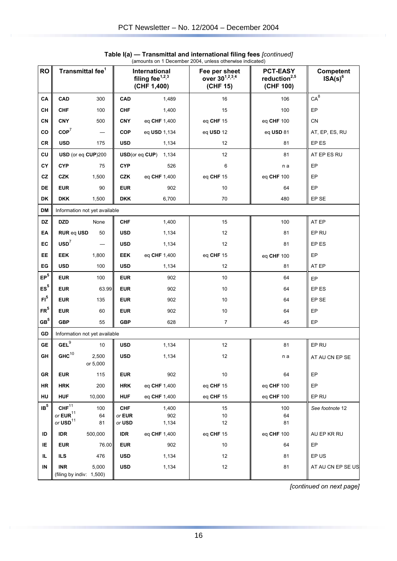| <b>RO</b>       | Transmittal fee <sup>1</sup>                   |                               | International<br>filing fee $1,2,3$<br>(CHF 1,400) |                            | Fee per sheet<br>over 30 <sup>1,2,3,4</sup><br>(CHF 15) | <b>PCT-EASY</b><br>reduction $^{2,5}$<br>(CHF 100) | Competent<br>$ISA(s)^6$ |
|-----------------|------------------------------------------------|-------------------------------|----------------------------------------------------|----------------------------|---------------------------------------------------------|----------------------------------------------------|-------------------------|
| СA              | CAD                                            | 300                           | <b>CAD</b>                                         | 1,489                      | 16                                                      | 106                                                | $CA^8$                  |
| CН              | <b>CHF</b>                                     | 100                           | <b>CHF</b>                                         | 1,400                      | 15                                                      | 100                                                | EP                      |
| CN              | <b>CNY</b>                                     | 500                           | <b>CNY</b>                                         | eq CHF 1,400               | eq CHF 15                                               | eq CHF 100                                         | CN                      |
| CO              | COP <sup>7</sup>                               |                               | <b>COP</b>                                         | eq USD 1,134               | eq USD 12                                               | eq USD 81                                          | AT, EP, ES, RU          |
| <b>CR</b>       | <b>USD</b>                                     | 175                           | <b>USD</b>                                         | 1,134                      | 12                                                      | 81                                                 | EP ES                   |
| CU              | USD (or eq CUP)200                             |                               |                                                    | $USD($ or eq $CUP$ ) 1,134 | 12                                                      | 81                                                 | AT EP ES RU             |
| CY              | <b>CYP</b>                                     | 75                            | <b>CYP</b>                                         | 526                        | 6                                                       | n a                                                | EP                      |
| CZ              | <b>CZK</b>                                     | 1,500                         | <b>CZK</b>                                         | eq CHF 1,400               | eq CHF 15                                               | eq CHF 100                                         | EP                      |
| DE              | <b>EUR</b>                                     | 90                            | <b>EUR</b>                                         | 902                        | 10                                                      | 64                                                 | EP                      |
| DK              | <b>DKK</b>                                     | 1,500                         | <b>DKK</b>                                         | 6,700                      | 70                                                      | 480                                                | EP SE                   |
| DM              |                                                | Information not yet available |                                                    |                            |                                                         |                                                    |                         |
| <b>DZ</b>       | <b>DZD</b>                                     | None                          | <b>CHF</b>                                         | 1,400                      | 15                                                      | 100                                                | AT EP                   |
| EA              | <b>RUR eq USD</b>                              | 50                            | <b>USD</b>                                         | 1,134                      | 12                                                      | 81                                                 | EP RU                   |
| EC              | $USD^7$                                        |                               | <b>USD</b>                                         | 1,134                      | 12                                                      | 81                                                 | EP ES                   |
| EE              | <b>EEK</b>                                     | 1,800                         | <b>EEK</b>                                         | eq CHF 1,400               | eq CHF 15                                               | eq CHF 100                                         | EP                      |
| EG              | <b>USD</b>                                     | 100                           | <b>USD</b>                                         | 1,134                      | 12                                                      | 81                                                 | AT EP                   |
| ${\sf EP}^5$    | <b>EUR</b>                                     | 100                           | <b>EUR</b>                                         | 902                        | 10                                                      | 64                                                 | EP                      |
| ES <sup>5</sup> | <b>EUR</b>                                     | 63.99                         | <b>EUR</b>                                         | 902                        | 10                                                      | 64                                                 | EP ES                   |
| $F1^5$          | <b>EUR</b>                                     | 135                           | <b>EUR</b>                                         | 902                        | 10                                                      | 64                                                 | EP SE                   |
| FR <sup>5</sup> | <b>EUR</b>                                     | 60                            | <b>EUR</b>                                         | 902                        | 10                                                      | 64                                                 | EP                      |
| GB <sup>5</sup> | <b>GBP</b>                                     | 55                            | <b>GBP</b>                                         | 628                        | $\overline{7}$                                          | 45                                                 | EP                      |
| GD              |                                                | Information not yet available |                                                    |                            |                                                         |                                                    |                         |
| <b>GE</b>       | $\mathsf{GEL}^9$                               | 10                            | <b>USD</b>                                         | 1,134                      | 12                                                      | 81                                                 | EP RU                   |
| GH              | ${\rm GHC}^{10}$                               | 2,500<br>or 5,000             | <b>USD</b>                                         | 1,134                      | 12                                                      | n a                                                | AT AU CN EP SE          |
| GR              | <b>EUR</b>                                     | 115                           | <b>EUR</b>                                         | 902                        | 10                                                      | 64                                                 | EP                      |
| HR              | <b>HRK</b>                                     | 200                           | <b>HRK</b>                                         | eq CHF 1,400               | eq CHF 15                                               | eq CHF 100                                         | EP                      |
| HU              | <b>HUF</b>                                     | 10,000                        | <b>HUF</b>                                         | eq CHF 1,400               | eq CHF 15                                               | eq CHF 100                                         | EP RU                   |
| $\mathsf{IB}^5$ | CHF <sup>11</sup>                              | 100                           | <b>CHF</b>                                         | 1,400                      | 15                                                      | 100                                                | See footnote 12         |
|                 | or $EUR$ <sup>11</sup><br>or $\text{USD}^{11}$ | 64<br>81                      | or EUR<br>or USD                                   | 902<br>1,134               | 10<br>12                                                | 64<br>81                                           |                         |
| ID              | <b>IDR</b>                                     | 500,000                       | <b>IDR</b>                                         | eq CHF 1,400               | eq CHF 15                                               | eq CHF 100                                         | AU EP KR RU             |
| IΕ              | <b>EUR</b>                                     | 76.00                         | <b>EUR</b>                                         | 902                        | 10                                                      | 64                                                 | EP                      |
| IL.             | <b>ILS</b>                                     | 476                           | <b>USD</b>                                         | 1,134                      | 12                                                      | 81                                                 | EP US                   |
| IN              | <b>INR</b>                                     | 5,000                         | <b>USD</b>                                         | 1,134                      | 12                                                      | 81                                                 | AT AU CN EP SE US       |
|                 | (filing by indiv: 1,500)                       |                               |                                                    |                            |                                                         |                                                    |                         |

**Table I(a) — Transmittal and international filing fees** *[continued]* (amounts on 1 December 2004, unless otherwise indicated)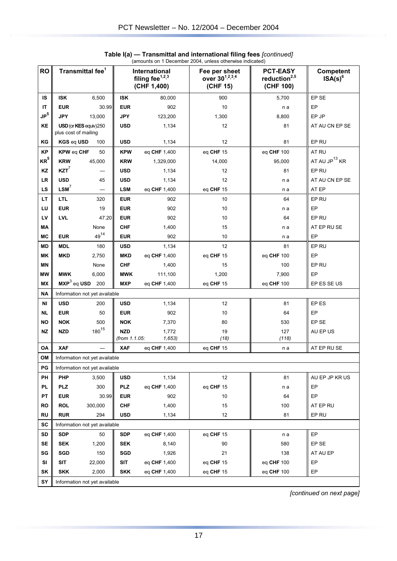| <b>RO</b>       | Transmittal fee <sup>1</sup>  |                               | International<br>filing fee $1,2,3$<br>(CHF 1,400) |                        |           | Fee per sheet<br>over 30 <sup>1,2,3,4</sup><br>(CHF 15) | <b>PCT-EASY</b><br>reduction $^{2,5}$<br>(CHF 100) | Competent<br>ISA(s) <sup>6</sup> |  |  |
|-----------------|-------------------------------|-------------------------------|----------------------------------------------------|------------------------|-----------|---------------------------------------------------------|----------------------------------------------------|----------------------------------|--|--|
| IS              | <b>ISK</b>                    | 6,500                         | <b>ISK</b>                                         | 80,000                 | 900       | 5.700                                                   | EP SE                                              |                                  |  |  |
| IT              | <b>EUR</b>                    | 30.99                         | <b>EUR</b>                                         | 902                    | 10        | n a                                                     | EP                                                 |                                  |  |  |
| $\mathsf{JP}^5$ | <b>JPY</b>                    | 13,000                        | <b>JPY</b>                                         | 123,200                | 1,300     | 8,800                                                   | EP JP                                              |                                  |  |  |
| KE              | plus cost of mailing          | USD (or KES equiv)250         | <b>USD</b>                                         | 1,134                  | 12        | 81                                                      | AT AU CN EP SE                                     |                                  |  |  |
| ΚG              | KGS eq USD                    | 100                           | <b>USD</b>                                         | 1,134                  | 12        | 81                                                      | EP RU                                              |                                  |  |  |
| <b>KP</b>       | <b>KPW eq CHF</b>             | 50                            | <b>KPW</b>                                         | eq CHF 1,400           | eq CHF 15 | eq CHF 100                                              | AT RU                                              |                                  |  |  |
| KR <sup>5</sup> | <b>KRW</b>                    | 45,000                        | <b>KRW</b>                                         | 1,329,000              | 14,000    | 95,000                                                  | AT AU JP <sup>13</sup> KR                          |                                  |  |  |
| KZ              | $KZT^7$                       |                               | <b>USD</b>                                         | 1,134                  | 12        | 81                                                      | EP RU                                              |                                  |  |  |
| <b>LR</b>       | <b>USD</b>                    | 45                            | <b>USD</b>                                         | 1,134                  | 12        | n a                                                     | AT AU CN EP SE                                     |                                  |  |  |
| LS              | $LSM^7$                       |                               | <b>LSM</b>                                         | eq CHF 1,400           | eq CHF 15 | n a                                                     | AT EP                                              |                                  |  |  |
| LT              | <b>LTL</b>                    | 320                           | <b>EUR</b>                                         | 902                    | 10        | 64                                                      | EP RU                                              |                                  |  |  |
| LU              | <b>EUR</b>                    | 19                            | <b>EUR</b>                                         | 902                    | 10        | n a                                                     | EP                                                 |                                  |  |  |
| LV              | <b>LVL</b>                    | 47.20                         | <b>EUR</b>                                         | 902                    | 10        | 64                                                      | EP RU                                              |                                  |  |  |
| MA              |                               | None                          | <b>CHF</b>                                         | 1,400                  | 15        | n a                                                     | AT EP RU SE                                        |                                  |  |  |
| <b>MC</b>       | <b>EUR</b>                    | 4914                          | <b>EUR</b>                                         | 902                    | 10        | n a                                                     | EP                                                 |                                  |  |  |
| MD              | <b>MDL</b>                    | 180                           | <b>USD</b>                                         | 1,134                  | 12        | 81                                                      | EP RU                                              |                                  |  |  |
| ΜK              | <b>MKD</b>                    | 2,750                         | <b>MKD</b>                                         | eq CHF 1,400           | eq CHF 15 | eq CHF 100                                              | EP                                                 |                                  |  |  |
| ΜN              |                               | None                          | <b>CHF</b>                                         | 1,400                  | 15        | 100                                                     | EP RU                                              |                                  |  |  |
| <b>MW</b>       | <b>MWK</b>                    | 6,000                         | <b>MWK</b>                                         | 111,100                | 1,200     | 7,900                                                   | EP                                                 |                                  |  |  |
| <b>MX</b>       |                               | $MXP3$ eq USD 200             | <b>MXP</b>                                         | eq CHF 1,400           | eq CHF 15 | eq CHF 100                                              | EP ES SE US                                        |                                  |  |  |
| <b>NA</b>       |                               | Information not yet available |                                                    |                        |           |                                                         |                                                    |                                  |  |  |
| NI              | <b>USD</b>                    | 200                           | <b>USD</b>                                         | 1,134                  | 12        | 81                                                      | EP ES                                              |                                  |  |  |
| <b>NL</b>       | <b>EUR</b>                    | 50                            | <b>EUR</b>                                         | 902                    | 10        | 64                                                      | EP                                                 |                                  |  |  |
| <b>NO</b>       | <b>NOK</b>                    | 500                           | <b>NOK</b>                                         | 7,370                  | 80        | 530                                                     | EP SE                                              |                                  |  |  |
| <b>NZ</b>       | <b>NZD</b>                    | $180^{15}$                    | <b>NZD</b>                                         | 1,772                  | 19        | 127                                                     | AU EP US                                           |                                  |  |  |
|                 |                               |                               |                                                    | (from 1.1.05:<br>1,653 | (18)      | (118)                                                   |                                                    |                                  |  |  |
| OA              | <b>XAF</b>                    |                               | <b>XAF</b>                                         | eq CHF 1,400           | eq CHF 15 | n a                                                     | AT EP RU SE                                        |                                  |  |  |
| OM              |                               | Information not yet available |                                                    |                        |           |                                                         |                                                    |                                  |  |  |
| PG              |                               | Information not yet available |                                                    |                        |           |                                                         |                                                    |                                  |  |  |
| PH              | <b>PHP</b>                    | 3,500                         | <b>USD</b>                                         | 1,134                  | 12        | 81                                                      | AU EP JP KR US                                     |                                  |  |  |
| PL              | <b>PLZ</b>                    | 300                           | <b>PLZ</b>                                         | eq CHF 1,400           | eq CHF 15 | n a                                                     | EP                                                 |                                  |  |  |
| PT              | <b>EUR</b>                    | 30.99                         | <b>EUR</b>                                         | 902                    | 10        | 64                                                      | EP                                                 |                                  |  |  |
| RO              | <b>ROL</b>                    | 300,000                       | <b>CHF</b>                                         | 1,400                  | 15        | 100                                                     | AT EP RU                                           |                                  |  |  |
| <b>RU</b>       | <b>RUR</b>                    | 294                           | <b>USD</b>                                         | 1,134                  | 12        | 81                                                      | EP RU                                              |                                  |  |  |
| SC              |                               | Information not yet available |                                                    |                        |           |                                                         |                                                    |                                  |  |  |
| SD              | <b>SDP</b>                    | 50                            | <b>SDP</b>                                         | eq CHF 1,400           | eq CHF 15 | n a                                                     | EP                                                 |                                  |  |  |
| SE              | <b>SEK</b>                    | 1,200                         | <b>SEK</b>                                         | 8,140                  | 90        | 580                                                     | EP SE                                              |                                  |  |  |
| SG              | <b>SGD</b>                    | 150                           | <b>SGD</b>                                         | 1,926                  | 21        | 138                                                     | AT AU EP                                           |                                  |  |  |
| <b>SI</b>       | <b>SIT</b>                    | 22,000                        | <b>SIT</b>                                         | eq CHF 1,400           | eq CHF 15 | eq CHF 100                                              | EP                                                 |                                  |  |  |
| SK              | <b>SKK</b>                    | 2,000                         | <b>SKK</b>                                         | eq CHF 1,400           | eq CHF 15 | eq CHF 100                                              | EP                                                 |                                  |  |  |
| SY              | Information not yet available |                               |                                                    |                        |           |                                                         |                                                    |                                  |  |  |

| Table I(a) — Transmittal and international filing fees [continued] |  |
|--------------------------------------------------------------------|--|
| (amounts on 1 December 2004, unless otherwise indicated)           |  |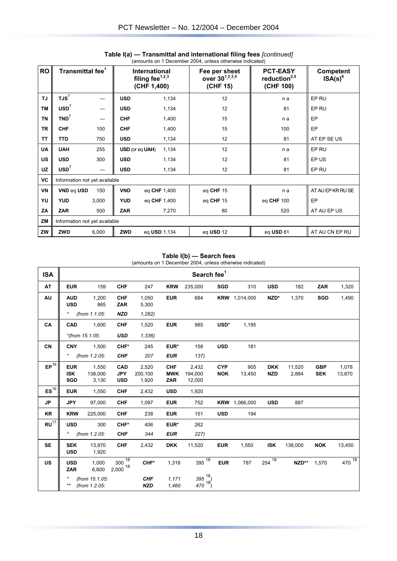| <b>RO</b> | Transmittal fee <sup>1</sup>  |       | International<br>filing fee $1,2,3$<br>(CHF 1,400) |              | Fee per sheet<br>over 30 <sup>1,2,3,4</sup><br>(CHF 15) | <b>PCT-EASY</b><br>reduction $^{2,5}$<br>(CHF 100) | <b>Competent</b><br>$ISA(s)^6$ |
|-----------|-------------------------------|-------|----------------------------------------------------|--------------|---------------------------------------------------------|----------------------------------------------------|--------------------------------|
| TJ        | TJS <sup>7</sup>              |       | <b>USD</b>                                         | 1,134        | 12                                                      | n a                                                | EP RU                          |
| <b>TM</b> | $USD^7$                       |       | <b>USD</b>                                         | 1,134        | 12                                                      | 81                                                 | EP RU                          |
| <b>TN</b> | TND <sup>7</sup>              |       | <b>CHF</b>                                         | 1,400        | 15                                                      | n a                                                | EP                             |
| <b>TR</b> | <b>CHF</b>                    | 100   | <b>CHF</b>                                         | 1,400        | 15                                                      | 100                                                | <b>EP</b>                      |
| <b>TT</b> | <b>TTD</b>                    | 750   | <b>USD</b>                                         | 1,134        | 12                                                      | 81                                                 | AT EP SE US                    |
| <b>UA</b> | <b>UAH</b>                    | 255   | USD (or eq UAH)                                    | 1,134        | 12                                                      | n a                                                | EP RU                          |
| <b>US</b> | <b>USD</b>                    | 300   | <b>USD</b>                                         | 1,134        | 12                                                      | 81                                                 | EP US                          |
| UZ        | $USD^7$                       |       | <b>USD</b>                                         | 1,134        | 12                                                      | 81                                                 | EP RU                          |
| VC        | Information not yet available |       |                                                    |              |                                                         |                                                    |                                |
| VN        | VND eq USD                    | 150   | <b>VND</b>                                         | eq CHF 1,400 | eq CHF 15                                               | n a                                                | AT AU EP KR RU SE              |
| YU        | <b>YUD</b>                    | 3,000 | <b>YUD</b>                                         | eq CHF 1,400 | eq $CHF$ 15                                             | eq CHF 100                                         | EP                             |
| ZA        | <b>ZAR</b>                    | 500   | <b>ZAR</b>                                         | 7,270        | 80                                                      | 520                                                | AT AU EP US                    |
| <b>ZM</b> | Information not yet available |       |                                                    |              |                                                         |                                                    |                                |
| ZW        | ZWD                           | 6,000 | ZWD                                                | eq USD 1,134 | eq USD 12                                               | eq USD 81                                          | AT AU CN EP RU                 |

**Table I(a) — Transmittal and international filing fees** *[continued]* (amounts on 1 December 2004, unless otherwise indicated)

#### **Table I(b) — Search fees**

(amounts on 1 December 2004, unless otherwise indicated)

| <b>ISA</b>       |                                 |                                 |                                 |                           |                                        | Search fee <sup>1</sup>                                      |                          |                      |                          |                 |                          |                 |
|------------------|---------------------------------|---------------------------------|---------------------------------|---------------------------|----------------------------------------|--------------------------------------------------------------|--------------------------|----------------------|--------------------------|-----------------|--------------------------|-----------------|
| <b>AT</b>        | <b>EUR</b>                      | 159                             | <b>CHF</b>                      | 247                       | <b>KRW</b>                             | 235,000                                                      | <b>SGD</b>               | 310                  | <b>USD</b>               | 182             | ZAR                      | 1,320           |
| AU               | <b>AUD</b><br><b>USD</b>        | 1.200<br>865                    | <b>CHF</b><br><b>ZAR</b>        | 1.050<br>5,300            | <b>EUR</b>                             | 684                                                          |                          | <b>KRW</b> 1,014,000 | NZD*                     | 1,370           | <b>SGD</b>               | 1,490           |
|                  |                                 | * (from $1.1.05$ )              | <b>NZD</b>                      | 1,282                     |                                        |                                                              |                          |                      |                          |                 |                          |                 |
| CA               | CAD                             | 1,600                           | <b>CHF</b>                      | 1,520                     | <b>EUR</b>                             | 985                                                          | USD*                     | 1,195                |                          |                 |                          |                 |
|                  |                                 | *(from 15.1.05:                 | <b>USD</b>                      | 1,336                     |                                        |                                                              |                          |                      |                          |                 |                          |                 |
| <b>CN</b>        | <b>CNY</b>                      | 1,500                           | CHF*                            | 245                       | EUR*                                   | 158                                                          | <b>USD</b>               | 181                  |                          |                 |                          |                 |
|                  |                                 | * $(from 1.2.05)$               | <b>CHF</b>                      | 207                       | <b>EUR</b>                             | 137)                                                         |                          |                      |                          |                 |                          |                 |
| $EP^{16}$        | <b>EUR</b><br>ISK<br><b>SGD</b> | 1,550<br>138,000<br>3,130       | CAD<br><b>JPY</b><br><b>USD</b> | 2,520<br>200,100<br>1,920 | <b>CHF</b><br><b>MWK</b><br><b>ZAR</b> | 2,432<br>194,000<br>12,000                                   | <b>CYP</b><br><b>NOK</b> | 905<br>13,450        | <b>DKK</b><br><b>NZD</b> | 11,520<br>2,884 | <b>GBP</b><br><b>SEK</b> | 1,078<br>13,870 |
| $ES^{16}$        | <b>EUR</b>                      | 1,550                           | <b>CHF</b>                      | 2,432                     | <b>USD</b>                             | 1,920                                                        |                          |                      |                          |                 |                          |                 |
| <b>JP</b>        | <b>JPY</b>                      | 97,000                          | <b>CHF</b>                      | 1,097                     | <b>EUR</b>                             | 752                                                          |                          | <b>KRW</b> 1,066,000 | <b>USD</b>               | 887             |                          |                 |
| <b>KR</b>        | <b>KRW</b>                      | 225,000                         | <b>CHF</b>                      | 238                       | <b>EUR</b>                             | 151                                                          | <b>USD</b>               | 194                  |                          |                 |                          |                 |
| RU <sup>17</sup> | <b>USD</b>                      | 300                             | CHF*                            | 406                       | EUR*                                   | 262                                                          |                          |                      |                          |                 |                          |                 |
|                  |                                 | * $(from 1.2.05$ :              | <b>CHF</b>                      | 344                       | <b>EUR</b>                             | 227)                                                         |                          |                      |                          |                 |                          |                 |
| <b>SE</b>        | <b>SEK</b><br><b>USD</b>        | 13,870<br>1,920                 | <b>CHF</b>                      | 2,432                     | <b>DKK</b>                             | 11,520                                                       | <b>EUR</b>               | 1,550                | <b>ISK</b>               | 138,000         | <b>NOK</b>               | 13,450          |
| <b>US</b>        | <b>USD</b><br><b>ZAR</b>        | 1,000<br>6,600                  | $300\sqrt{18}$<br>$2,000^{18}$  | CHF*                      | 1,318                                  | $395\overline{18}$                                           | <b>EUR</b>               | 787                  | $254^{18}$               | NZD**           | 1.570                    | $470^{18}$      |
|                  | *<br>$***$                      | (from 15.1.05:<br>(from 1.2.05: |                                 | <b>CHF</b><br><b>NZD</b>  | 1,171<br>1,460                         | $\begin{array}{c} 395\sqrt{18}\\ 470\sqrt{18}\\ \end{array}$ |                          |                      |                          |                 |                          |                 |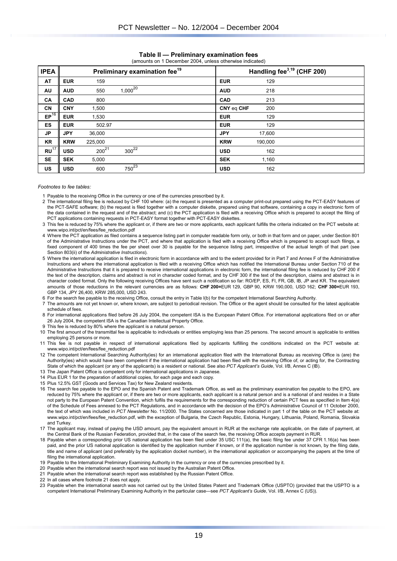| <b>IPEA</b>      |            |            |                   | Preliminary examination fee <sup>19</sup> |            |         | Handling fee <sup>3,19</sup> (CHF 200) |  |
|------------------|------------|------------|-------------------|-------------------------------------------|------------|---------|----------------------------------------|--|
| AT               | <b>EUR</b> | 159        |                   |                                           | <b>EUR</b> | 129     |                                        |  |
| AU               | <b>AUD</b> | 550        | $1,000^{20}$      |                                           | <b>AUD</b> | 218     |                                        |  |
| CA               | <b>CAD</b> | 800        |                   |                                           | <b>CAD</b> | 213     |                                        |  |
| <b>CN</b>        | <b>CNY</b> | 1,500      |                   |                                           | CNY eq CHF | 200     |                                        |  |
| $EP^{16}$        | <b>EUR</b> | 1,530      |                   |                                           | <b>EUR</b> | 129     |                                        |  |
| <b>ES</b>        | <b>EUR</b> | 502.97     |                   |                                           | <b>EUR</b> | 129     |                                        |  |
| <b>JP</b>        | <b>JPY</b> | 36,000     |                   |                                           | <b>JPY</b> | 17,600  |                                        |  |
| KR               | <b>KRW</b> | 225,000    |                   |                                           | <b>KRW</b> | 190,000 |                                        |  |
| RU <sup>17</sup> | <b>USD</b> | $200^{21}$ | $300^{22}$        |                                           | <b>USD</b> | 162     |                                        |  |
| <b>SE</b>        | <b>SEK</b> | 5,000      |                   |                                           | <b>SEK</b> | 1,160   |                                        |  |
| US               | <b>USD</b> | 600        | 750 <sup>23</sup> |                                           | <b>USD</b> | 162     |                                        |  |

#### **Table II — Preliminary examination fees** (amounts on 1 December 2004, unless otherwise indicated)

#### *Footnotes to fee tables:*

- 1 Payable to the receiving Office in the currency or one of the currencies prescribed by it.
- 2 The international filing fee is reduced by CHF 100 where: (a) the request is presented as a computer print-out prepared using the PCT-EASY features of the PCT-SAFE software; (b) the request is filed together with a computer diskette, prepared using that software, containing a copy in electronic form of the data contained in the request and of the abstract; and (c) the PCT application is filed with a receiving Office which is prepared to accept the filing of PCT applications containing requests in PCT-EASY format together with PCT-EASY diskettes.
- 3 This fee is reduced by 75% where the applicant or, if there are two or more applicants, each applicant fulfills the criteria indicated on the PCT website at: www.wipo.int/pct/en/fees/fee\_reduction.pdf
- 4 Where the PCT application as filed contains a sequence listing part in computer readable form only, or both in that form and on paper, under Section 801 of the Administrative Instructions under the PCT, and where that application is filed with a receiving Office which is prepared to accept such filings, a fixed component of 400 times the fee per sheet over 30 is payable for the sequence listing part, irrespective of the actual length of that part (see Section 803(ii) of the *Administrative Instructions*).
- 5 Where the international application is filed in electronic form in accordance with and to the extent provided for in Part 7 and Annex F of the Administrative Instructions and where the international application is filed with a receiving Office which has notified the International Bureau under Section 710 of the Administrative Instructions that it is prepared to receive international applications in electronic form, the international filing fee is reduced by CHF 200 if the text of the description, claims and abstract is not in character coded format, and by CHF 300 if the text of the description, claims and abstract is in character coded format. Only the following receiving Offices have sent such a notification so far: RO/EP, ES, FI, FR, GB, IB, JP and KR. The equivalent amounts of those reductions in the relevant currencies are as follows: **CHF 200=**EUR 129, GBP 90, KRW 190,000, USD 162; **CHF 300=**EUR 193, GBP 134, JPY 26,400, KRW 285,000, USD 243.
- 6 For the search fee payable to the receiving Office, consult the entry in Table I(b) for the competent International Searching Authority.
- 7 The amounts are not yet known or, where known, are subject to periodical revision. The Office or the agent should be consulted for the latest applicable schedule of fees.
- 8 For international applications filed before 26 July 2004, the competent ISA is the European Patent Office. For international applications filed on or after 26 July 2004, the competent ISA is the Canadian Intellectual Property Office.
- 9 This fee is reduced by 80% where the applicant is a natural person.
- 10 The first amount of the transmittal fee is applicable to individuals or entities employing less than 25 persons. The second amount is applicable to entities employing 25 persons or more.
- 11 This fee is not payable in respect of international applications filed by applicants fulfilling the conditions indicated on the PCT website at: www.wipo.int/pct/en/fees/fee\_reduction.pdf
- 12 The competent International Searching Authority(ies) for an international application filed with the International Bureau as receiving Office is (are) the Authority(ies) which would have been competent if the international application had been filed with the receiving Office of, or acting for, the Contracting State of which the applicant (or any of the applicants) is a resident or national. See also *PCT Applicant's Guide*, Vol. I/B, Annex C (IB).
- 13 The Japan Patent Office is competent only for international applications in Japanese.
- 14 Plus EUR 1 for the preparation of additional copies, for each page and each copy.
- 15 Plus 12.5% GST (Goods and Services Tax) for New Zealand residents.
- 16 The search fee payable to the EPO and the Spanish Patent and Trademark Office, as well as the preliminary examination fee payable to the EPO, are reduced by 75% where the applicant or, if there are two or more applicants, each applicant is a natural person and is a national of and resides in a State not party to the European Patent Convention, which fulfils the requirements for the corresponding reduction of certain PCT fees as specified in Item 4(a) of the Schedule of Fees annexed to the PCT Regulations, and in accordance with the decision of the EPO's Administrative Council of 11 October 2000, the text of which was included in *PCT Newsletter* No. 11/2000. The States concerned are those indicated in part 1 of the table on the PCT website at: www.wipo.int/pct/en/fees/fee reduction.pdf, with the exception of Bulgaria, the Czech Republic, Estonia, Hungary, Lithuania, Poland, Romania, Slovakia and Turkey.
- 17 The applicant may, instead of paying the USD amount, pay the equivalent amount in RUR at the exchange rate applicable, on the date of payment, at the Central Bank of the Russian Federation, provided that, in the case of the search fee, the receiving Office accepts payment in RUR.
- 18 Payable when a corresponding prior US national application has been filed under 35 USC 111(a), the basic filing fee under 37 CFR 1.16(a) has been paid, and the prior US national application is identified by the application number if known, or if the application number is not known, by the filing date, title and name of applicant (and preferably by the application docket number), in the international application or accompanying the papers at the time of filing the international application.
- 19 Payable to the International Preliminary Examining Authority in the currency or one of the currencies prescribed by it.
- 20 Payable when the international search report was not issued by the Australian Patent Office.
- 21 Payable when the international search report was established by the Russian Patent Office.
- 22 In all cases where footnote 21 does not apply.
- 23 Payable when the international search was not carried out by the United States Patent and Trademark Office (USPTO) (provided that the USPTO is a competent International Preliminary Examining Authority in the particular case—see *PCT Applicant's Guide*, Vol. I/B, Annex C (US)).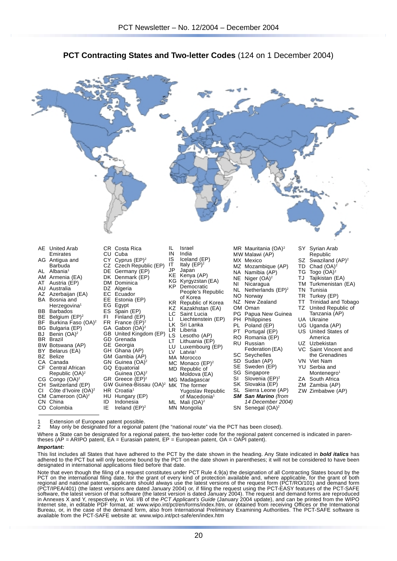

## **PCT Contracting States and Two-letter Codes** (124 on 1 December 2004)

1 Extension of European patent possible.<br>2 May only be designated for a regional p

2 May only be designated for a regional patent (the "national route" via the PCT has been closed).

Where a State can be designated for a regional patent, the two-letter code for the regional patent concerned is indicated in parentheses (AP = ARIPO patent, EA = Eurasian patent, EP = European patent, OA = OAPI patent).

#### *Important:*

This list includes all States that have adhered to the PCT by the date shown in the heading. Any State indicated in *bold italics* has adhered to the PCT but will only become bound by the PCT on the date shown in parentheses; it will not be considered to have been designated in international applications filed before that date.

Note that even though the filing of a request constitutes under PCT Rule 4.9(a) the designation of all Contracting States bound by the PCT on the international filing date, for the grant of every kind of protection available and, where applicable, for the grant of both regional and national patents, applicants should always use the latest versions of the request form (PCT/RO/101) and demand form (PCT/IPEA/401) (the latest versions are dated January 2004) or, if filing the request using the PCT-EASY features of the PCT-SAFE software, the latest version of that software (the latest version is dated January 2004). The request and demand forms are reproduced in Annexes X and Y, respectively, in Vol. I/B of the *PCT Applicant's Guide* (January 2004 update), and can be printed from the WIPO Internet site, in editable PDF format, at: www.wipo.int/pct/en/forms/index.htm, or obtained from receiving Offices or the International Bureau, or, in the case of the demand form, also from International Preliminary Examining Authorities. The PCT-SAFE software is available from the PCT-SAFE website at: www.wipo.int/pct-safe/en/index.htm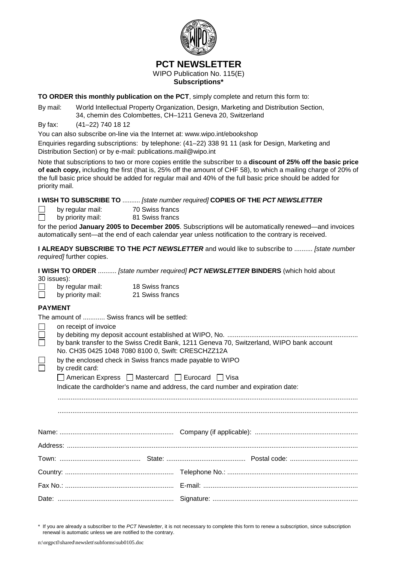

#### **PCT NEWSLETTER** WIPO Publication No. 115(E) **Subscriptions\***

**TO ORDER this monthly publication on the PCT**, simply complete and return this form to:

By mail: World Intellectual Property Organization, Design, Marketing and Distribution Section, 34, chemin des Colombettes, CH–1211 Geneva 20, Switzerland

By fax: (41–22) 740 18 12

You can also subscribe on-line via the Internet at: www.wipo.int/ebookshop

Enquiries regarding subscriptions: by telephone: (41–22) 338 91 11 (ask for Design, Marketing and Distribution Section) or by e-mail: publications.mail@wipo.int

Note that subscriptions to two or more copies entitle the subscriber to a **discount of 25% off the basic price of each copy,** including the first (that is, 25% off the amount of CHF 58), to which a mailing charge of 20% of the full basic price should be added for regular mail and 40% of the full basic price should be added for priority mail.

**I WISH TO SUBSCRIBE TO** .......... *[state number required]* **COPIES OF THE** *PCT NEWSLETTER*

by regular mail: 70 Swiss francs П П by priority mail: 81 Swiss francs

for the period **January 2005 to December 2005**. Subscriptions will be automatically renewed—and invoices automatically sent—at the end of each calendar year unless notification to the contrary is received.

**I ALREADY SUBSCRIBE TO THE** *PCT NEWSLETTER* and would like to subscribe to .......... *[state number required]* further copies.

**I WISH TO ORDER** .......... *[state number required] PCT NEWSLETTER* **BINDERS** (which hold about 30 issues):

|        | 00 1000007.       |                 |
|--------|-------------------|-----------------|
| $\Box$ | by regular mail:  | 18 Swiss francs |
| $\Box$ | by priority mail: | 21 Swiss francs |

#### **PAYMENT**

The amount of ............ Swiss francs will be settled:

| $\Box$ | on receipt of invoice<br>No. CH35 0425 1048 7080 8100 0, Swift: CRESCHZZ12A<br>by the enclosed check in Swiss francs made payable to WIPO<br>by credit card:<br>□ American Express □ Mastercard □ Eurocard □ Visa | by bank transfer to the Swiss Credit Bank, 1211 Geneva 70, Switzerland, WIPO bank account<br>Indicate the cardholder's name and address, the card number and expiration date: |
|--------|-------------------------------------------------------------------------------------------------------------------------------------------------------------------------------------------------------------------|-------------------------------------------------------------------------------------------------------------------------------------------------------------------------------|
|        |                                                                                                                                                                                                                   |                                                                                                                                                                               |
|        |                                                                                                                                                                                                                   |                                                                                                                                                                               |
|        |                                                                                                                                                                                                                   |                                                                                                                                                                               |
|        |                                                                                                                                                                                                                   |                                                                                                                                                                               |
|        |                                                                                                                                                                                                                   |                                                                                                                                                                               |
|        |                                                                                                                                                                                                                   |                                                                                                                                                                               |
|        |                                                                                                                                                                                                                   |                                                                                                                                                                               |

\* If you are already a subscriber to the *PCT Newsletter*, it is not necessary to complete this form to renew a subscription, since subscription renewal is automatic unless we are notified to the contrary.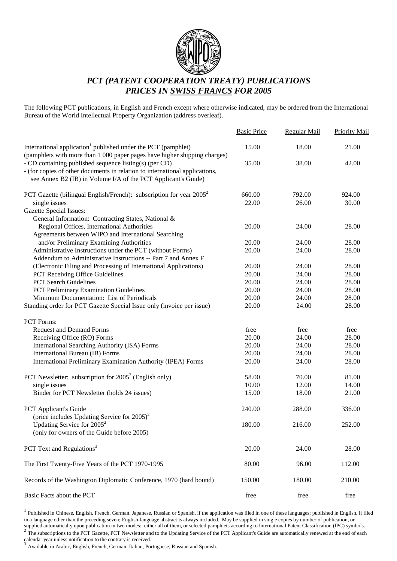

## *PCT (PATENT COOPERATION TREATY) PUBLICATIONS PRICES IN SWISS FRANCS FOR 2005*

The following PCT publications, in English and French except where otherwise indicated, may be ordered from the International Bureau of the World Intellectual Property Organization (address overleaf).

|                                                                                                                                                        | <b>Basic Price</b> | Regular Mail | <b>Priority Mail</b> |
|--------------------------------------------------------------------------------------------------------------------------------------------------------|--------------------|--------------|----------------------|
| International application <sup>1</sup> published under the PCT (pamphlet)<br>(pamphlets with more than 1 000 paper pages have higher shipping charges) | 15.00              | 18.00        | 21.00                |
| - CD containing published sequence listing(s) (per CD)<br>- (for copies of other documents in relation to international applications,                  | 35.00              | 38.00        | 42.00                |
| see Annex B2 (IB) in Volume I/A of the PCT Applicant's Guide)                                                                                          |                    |              |                      |
| PCT Gazette (bilingual English/French): subscription for year $2005^2$                                                                                 | 660.00             | 792.00       | 924.00               |
| single issues                                                                                                                                          | 22.00              | 26.00        | 30.00                |
| <b>Gazette Special Issues:</b>                                                                                                                         |                    |              |                      |
| General Information: Contracting States, National &                                                                                                    |                    |              |                      |
| Regional Offices, International Authorities                                                                                                            | 20.00              | 24.00        | 28.00                |
| Agreements between WIPO and International Searching                                                                                                    |                    |              |                      |
| and/or Preliminary Examining Authorities                                                                                                               | 20.00              | 24.00        | 28.00                |
| Administrative Instructions under the PCT (without Forms)                                                                                              | 20.00              | 24.00        | 28.00                |
| Addendum to Administrative Instructions -- Part 7 and Annex F                                                                                          |                    |              |                      |
| (Electronic Filing and Processing of International Applications)                                                                                       | 20.00              | 24.00        | 28.00                |
| <b>PCT</b> Receiving Office Guidelines                                                                                                                 | 20.00              | 24.00        | 28.00                |
| <b>PCT</b> Search Guidelines                                                                                                                           | 20.00              | 24.00        | 28.00                |
| <b>PCT Preliminary Examination Guidelines</b>                                                                                                          | 20.00              | 24.00        | 28.00                |
| Minimum Documentation: List of Periodicals                                                                                                             | 20.00              | 24.00        | 28.00                |
| Standing order for PCT Gazette Special Issue only (invoice per issue)                                                                                  | 20.00              | 24.00        | 28.00                |
| PCT Forms:                                                                                                                                             |                    |              |                      |
| <b>Request and Demand Forms</b>                                                                                                                        | free               | free         | free                 |
| Receiving Office (RO) Forms                                                                                                                            | 20.00              | 24.00        | 28.00                |
| International Searching Authority (ISA) Forms                                                                                                          | 20.00              | 24.00        | 28.00                |
| International Bureau (IB) Forms                                                                                                                        | 20.00              | 24.00        | 28.00                |
| International Preliminary Examination Authority (IPEA) Forms                                                                                           | 20.00              | 24.00        | 28.00                |
| PCT Newsletter: subscription for $2005^2$ (English only)                                                                                               | 58.00              | 70.00        | 81.00                |
| single issues                                                                                                                                          | 10.00              | 12.00        | 14.00                |
| Binder for PCT Newsletter (holds 24 issues)                                                                                                            | 15.00              | 18.00        | 21.00                |
| PCT Applicant's Guide                                                                                                                                  | 240.00             | 288.00       | 336.00               |
| (price includes Updating Service for $2005$ ) <sup>2</sup>                                                                                             |                    |              |                      |
| Updating Service for $2005^2$                                                                                                                          | 180.00             | 216.00       | 252.00               |
| (only for owners of the Guide before 2005)                                                                                                             |                    |              |                      |
| PCT Text and Regulations <sup>3</sup>                                                                                                                  | 20.00              | 24.00        | 28.00                |
| The First Twenty-Five Years of the PCT 1970-1995                                                                                                       | 80.00              | 96.00        | 112.00               |
| Records of the Washington Diplomatic Conference, 1970 (hard bound)                                                                                     | 150.00             | 180.00       | 210.00               |
| Basic Facts about the PCT                                                                                                                              | free               | free         | free                 |

<sup>&</sup>lt;sup>1</sup> Published in Chinese, English, French, German, Japanese, Russian or Spanish, if the application was filed in one of these languages; published in English, if filed in a language other than the preceding seven; English-language abstract is always included. May be supplied in single copies by number of publication, or supplied automatically upon publication in two modes: either all of

 $\overline{a}$ 

<sup>&</sup>lt;sup>2</sup> The subscriptions to the PCT Gazette, PCT Newsletter and to the Updating Service of the PCT Applicant's Guide are automatically renewed at the end of each calendar year unless notification to the contrary is received.

<sup>3</sup> Available in Arabic, English, French, German, Italian, Portuguese, Russian and Spanish.